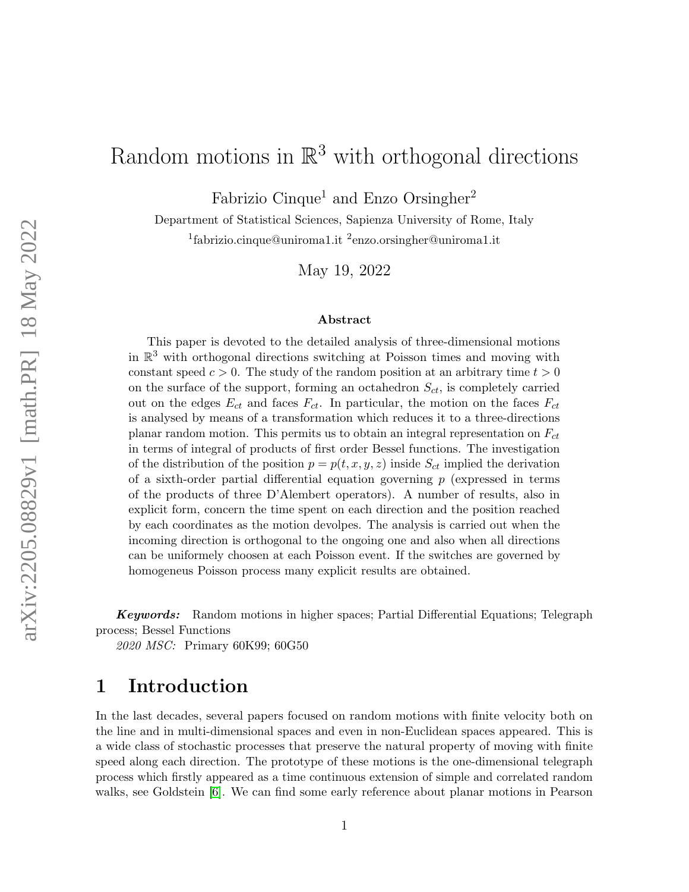# Random motions in  $\mathbb{R}^3$  with orthogonal directions

Fabrizio Cinque<sup>1</sup> and Enzo Orsingher<sup>2</sup>

Department of Statistical Sciences, Sapienza University of Rome, Italy <sup>1</sup>fabrizio.cinque@uniroma1.it <sup>2</sup>enzo.orsingher@uniroma1.it

May 19, 2022

#### Abstract

This paper is devoted to the detailed analysis of three-dimensional motions in  $\mathbb{R}^3$  with orthogonal directions switching at Poisson times and moving with constant speed  $c > 0$ . The study of the random position at an arbitrary time  $t > 0$ on the surface of the support, forming an octahedron  $S_{ct}$ , is completely carried out on the edges  $E_{ct}$  and faces  $F_{ct}$ . In particular, the motion on the faces  $F_{ct}$ is analysed by means of a transformation which reduces it to a three-directions planar random motion. This permits us to obtain an integral representation on  $F_{ct}$ in terms of integral of products of first order Bessel functions. The investigation of the distribution of the position  $p = p(t, x, y, z)$  inside  $S_{ct}$  implied the derivation of a sixth-order partial differential equation governing  $p$  (expressed in terms of the products of three D'Alembert operators). A number of results, also in explicit form, concern the time spent on each direction and the position reached by each coordinates as the motion devolpes. The analysis is carried out when the incoming direction is orthogonal to the ongoing one and also when all directions can be uniformely choosen at each Poisson event. If the switches are governed by homogeneus Poisson process many explicit results are obtained.

Keywords: Random motions in higher spaces; Partial Differential Equations; Telegraph process; Bessel Functions

2020 MSC: Primary 60K99; 60G50

### 1 Introduction

In the last decades, several papers focused on random motions with finite velocity both on the line and in multi-dimensional spaces and even in non-Euclidean spaces appeared. This is a wide class of stochastic processes that preserve the natural property of moving with finite speed along each direction. The prototype of these motions is the one-dimensional telegraph process which firstly appeared as a time continuous extension of simple and correlated random walks, see Goldstein [\[6\]](#page-24-0). We can find some early reference about planar motions in Pearson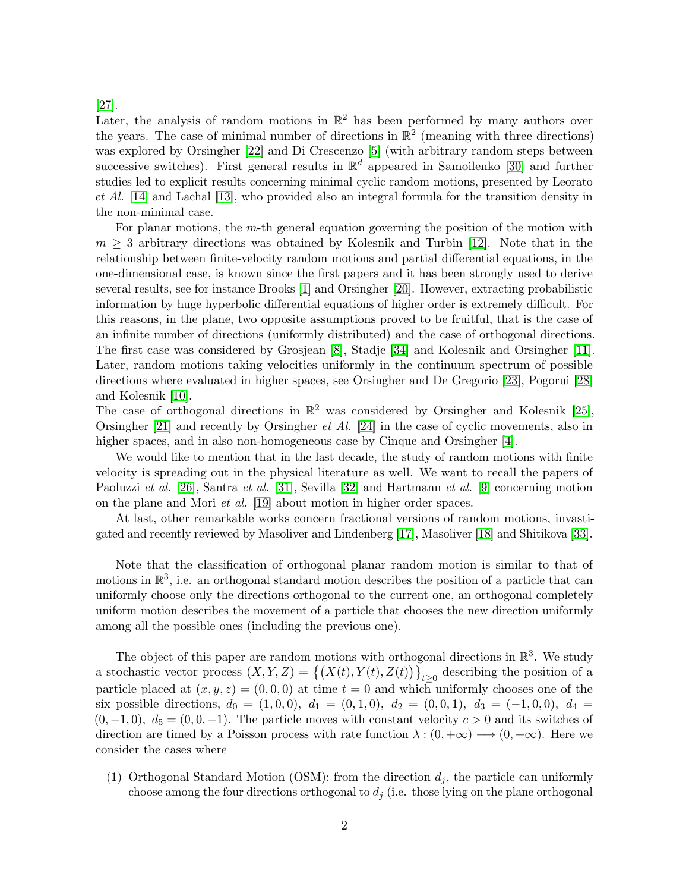#### [\[27\]](#page-25-0).

Later, the analysis of random motions in  $\mathbb{R}^2$  has been performed by many authors over the years. The case of minimal number of directions in  $\mathbb{R}^2$  (meaning with three directions) was explored by Orsingher [\[22\]](#page-25-1) and Di Crescenzo [\[5\]](#page-24-1) (with arbitrary random steps between successive switches). First general results in  $\mathbb{R}^d$  appeared in Samoilenko [\[30\]](#page-26-0) and further studies led to explicit results concerning minimal cyclic random motions, presented by Leorato et Al. [\[14\]](#page-25-2) and Lachal [\[13\]](#page-25-3), who provided also an integral formula for the transition density in the non-minimal case.

For planar motions, the m-th general equation governing the position of the motion with  $m \geq 3$  arbitrary directions was obtained by Kolesnik and Turbin [\[12\]](#page-25-4). Note that in the relationship between finite-velocity random motions and partial differential equations, in the one-dimensional case, is known since the first papers and it has been strongly used to derive several results, see for instance Brooks [\[1\]](#page-24-2) and Orsingher [\[20\]](#page-25-5). However, extracting probabilistic information by huge hyperbolic differential equations of higher order is extremely difficult. For this reasons, in the plane, two opposite assumptions proved to be fruitful, that is the case of an infinite number of directions (uniformly distributed) and the case of orthogonal directions. The first case was considered by Grosjean [\[8\]](#page-24-3), Stadje [\[34\]](#page-26-1) and Kolesnik and Orsingher [\[11\]](#page-25-6). Later, random motions taking velocities uniformly in the continuum spectrum of possible directions where evaluated in higher spaces, see Orsingher and De Gregorio [\[23\]](#page-25-7), Pogorui [\[28\]](#page-25-8) and Kolesnik [\[10\]](#page-25-9).

The case of orthogonal directions in  $\mathbb{R}^2$  was considered by Orsingher and Kolesnik [\[25\]](#page-25-10), Orsingher [\[21\]](#page-25-11) and recently by Orsingher et Al. [\[24\]](#page-25-12) in the case of cyclic movements, also in higher spaces, and in also non-homogeneous case by Cinque and Orsingher [\[4\]](#page-24-4).

We would like to mention that in the last decade, the study of random motions with finite velocity is spreading out in the physical literature as well. We want to recall the papers of Paoluzzi et al. [\[26\]](#page-25-13), Santra et al. [\[31\]](#page-26-2), Sevilla [\[32\]](#page-26-3) and Hartmann et al. [\[9\]](#page-25-14) concerning motion on the plane and Mori et al. [\[19\]](#page-25-15) about motion in higher order spaces.

At last, other remarkable works concern fractional versions of random motions, invastigated and recently reviewed by Masoliver and Lindenberg [\[17\]](#page-25-16), Masoliver [\[18\]](#page-25-17) and Shitikova [\[33\]](#page-26-4).

Note that the classification of orthogonal planar random motion is similar to that of motions in  $\mathbb{R}^3$ , i.e. an orthogonal standard motion describes the position of a particle that can uniformly choose only the directions orthogonal to the current one, an orthogonal completely uniform motion describes the movement of a particle that chooses the new direction uniformly among all the possible ones (including the previous one).

The object of this paper are random motions with orthogonal directions in  $\mathbb{R}^3$ . We study a stochastic vector process  $(X, Y, Z) = \{(X(t), Y(t), Z(t))\}_{t \geq 0}$  describing the position of a particle placed at  $(x, y, z) = (0, 0, 0)$  at time  $t = 0$  and which uniformly chooses one of the six possible directions,  $d_0 = (1, 0, 0), d_1 = (0, 1, 0), d_2 = (0, 0, 1), d_3 = (-1, 0, 0), d_4 =$  $(0, -1, 0), d_5 = (0, 0, -1)$ . The particle moves with constant velocity  $c > 0$  and its switches of direction are timed by a Poisson process with rate function  $\lambda : (0, +\infty) \longrightarrow (0, +\infty)$ . Here we consider the cases where

(1) Orthogonal Standard Motion (OSM): from the direction  $d_j$ , the particle can uniformly choose among the four directions orthogonal to  $d_i$  (i.e. those lying on the plane orthogonal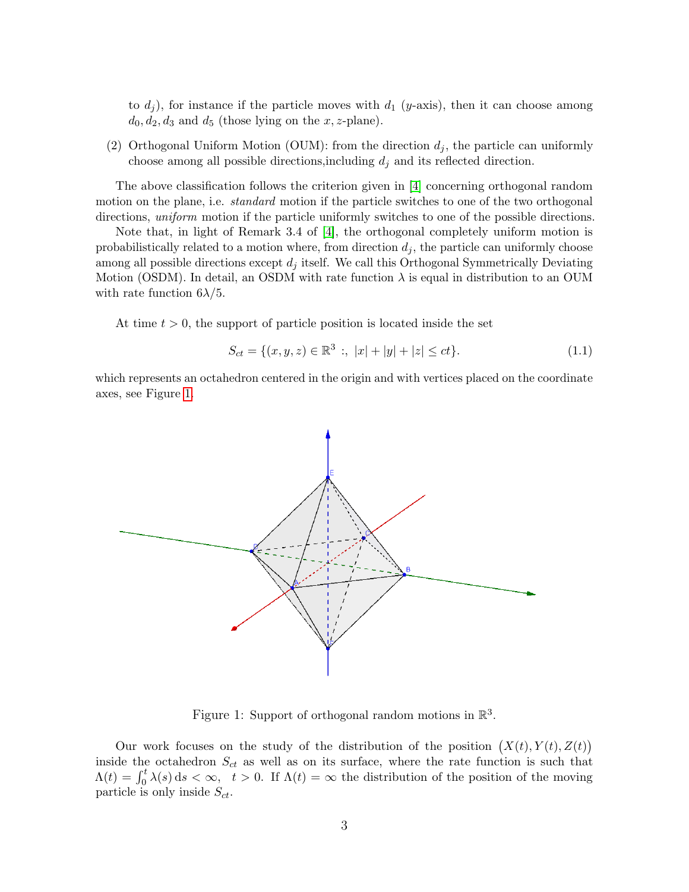to  $d_i$ ), for instance if the particle moves with  $d_1$  (y-axis), then it can choose among  $d_0, d_2, d_3$  and  $d_5$  (those lying on the x, z-plane).

(2) Orthogonal Uniform Motion (OUM): from the direction  $d_i$ , the particle can uniformly choose among all possible directions, including  $d_j$  and its reflected direction.

The above classification follows the criterion given in [\[4\]](#page-24-4) concerning orthogonal random motion on the plane, i.e. *standard* motion if the particle switches to one of the two orthogonal directions, *uniform* motion if the particle uniformly switches to one of the possible directions.

Note that, in light of Remark 3.4 of [\[4\]](#page-24-4), the orthogonal completely uniform motion is probabilistically related to a motion where, from direction  $d_i$ , the particle can uniformly choose among all possible directions except  $d_j$  itself. We call this Orthogonal Symmetrically Deviating Motion (OSDM). In detail, an OSDM with rate function  $\lambda$  is equal in distribution to an OUM with rate function  $6\lambda/5$ .

At time  $t > 0$ , the support of particle position is located inside the set

<span id="page-2-1"></span>
$$
S_{ct} = \{ (x, y, z) \in \mathbb{R}^3 \; : \; |x| + |y| + |z| \le ct \}. \tag{1.1}
$$

which represents an octahedron centered in the origin and with vertices placed on the coordinate axes, see Figure [1.](#page-2-0)



<span id="page-2-0"></span>Figure 1: Support of orthogonal random motions in  $\mathbb{R}^3$ .

Our work focuses on the study of the distribution of the position  $(X(t), Y(t), Z(t))$ inside the octahedron  $S_{ct}$  as well as on its surface, where the rate function is such that  $\Lambda(t) = \int_0^t \lambda(s) ds < \infty$ ,  $t > 0$ . If  $\Lambda(t) = \infty$  the distribution of the position of the moving particle is only inside  $S_{ct}$ .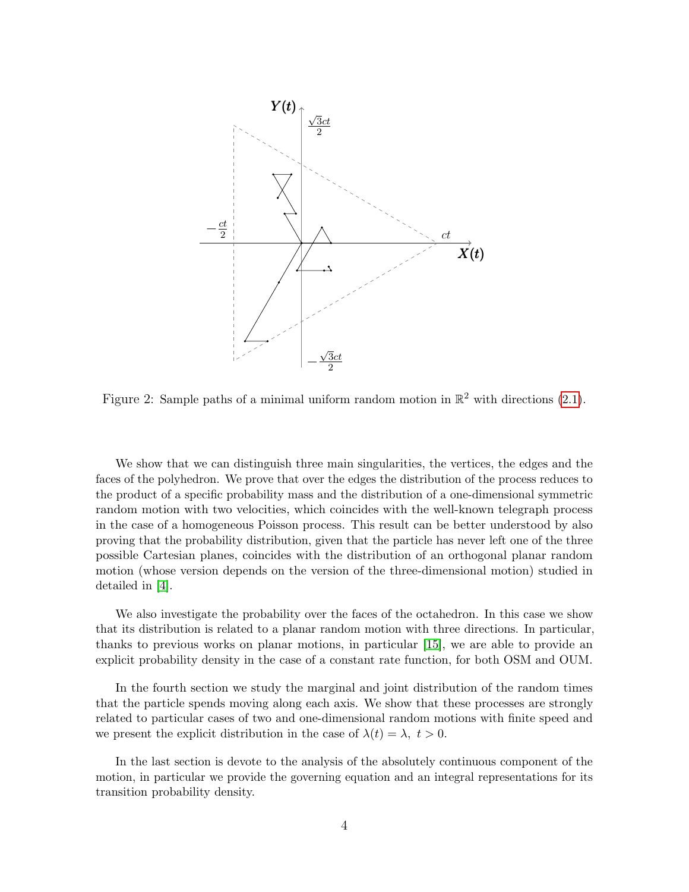

Figure 2: Sample paths of a minimal uniform random motion in  $\mathbb{R}^2$  with directions [\(2.1\)](#page-4-0).

We show that we can distinguish three main singularities, the vertices, the edges and the faces of the polyhedron. We prove that over the edges the distribution of the process reduces to the product of a specific probability mass and the distribution of a one-dimensional symmetric random motion with two velocities, which coincides with the well-known telegraph process in the case of a homogeneous Poisson process. This result can be better understood by also proving that the probability distribution, given that the particle has never left one of the three possible Cartesian planes, coincides with the distribution of an orthogonal planar random motion (whose version depends on the version of the three-dimensional motion) studied in detailed in [\[4\]](#page-24-4).

We also investigate the probability over the faces of the octahedron. In this case we show that its distribution is related to a planar random motion with three directions. In particular, thanks to previous works on planar motions, in particular [\[15\]](#page-25-18), we are able to provide an explicit probability density in the case of a constant rate function, for both OSM and OUM.

In the fourth section we study the marginal and joint distribution of the random times that the particle spends moving along each axis. We show that these processes are strongly related to particular cases of two and one-dimensional random motions with finite speed and we present the explicit distribution in the case of  $\lambda(t) = \lambda, t > 0$ .

In the last section is devote to the analysis of the absolutely continuous component of the motion, in particular we provide the governing equation and an integral representations for its transition probability density.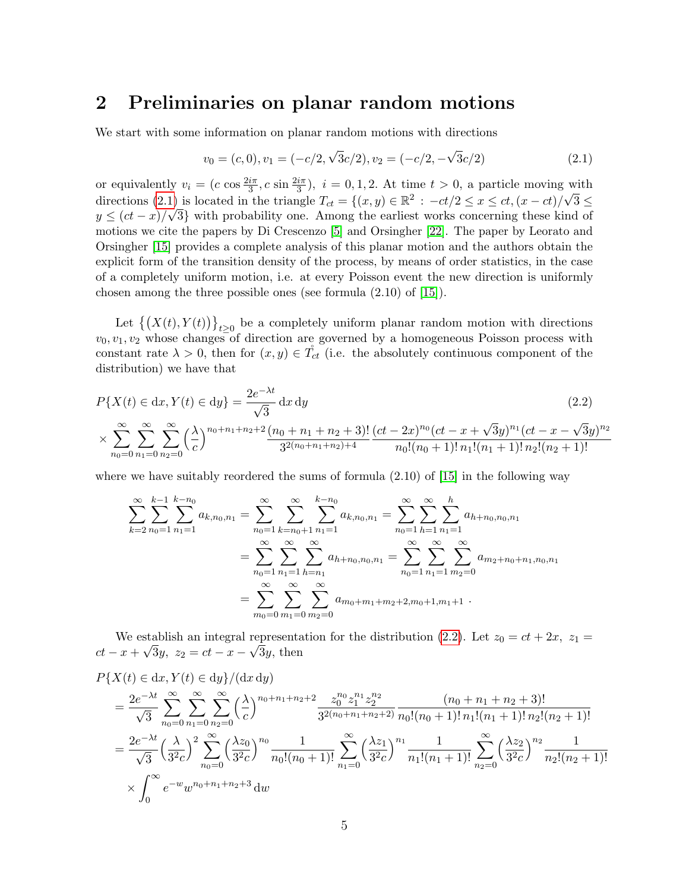## <span id="page-4-2"></span>2 Preliminaries on planar random motions

We start with some information on planar random motions with directions

<span id="page-4-1"></span><span id="page-4-0"></span>
$$
v_0 = (c, 0), v_1 = (-c/2, \sqrt{3}c/2), v_2 = (-c/2, -\sqrt{3}c/2)
$$
\n(2.1)

or equivalently  $v_i = (c \cos \frac{2i\pi}{3}, c \sin \frac{2i\pi}{3}), i = 0, 1, 2$ . At time  $t > 0$ , a particle moving with directions [\(2.1\)](#page-4-0) is located in the triangle  $T_{ct} = \{(x, y) \in \mathbb{R}^2 : -ct/2 \le x \le ct, (x - ct)/\sqrt{3} \le$  $y \leq (ct-x)/\sqrt{3}$  with probability one. Among the earliest works concerning these kind of motions we cite the papers by Di Crescenzo [\[5\]](#page-24-1) and Orsingher [\[22\]](#page-25-1). The paper by Leorato and Orsingher [\[15\]](#page-25-18) provides a complete analysis of this planar motion and the authors obtain the explicit form of the transition density of the process, by means of order statistics, in the case of a completely uniform motion, i.e. at every Poisson event the new direction is uniformly chosen among the three possible ones (see formula (2.10) of [\[15\]](#page-25-18)).

Let  $\{(X(t), Y(t))\}_{t\geq 0}$  be a completely uniform planar random motion with directions  $v_0, v_1, v_2$  whose changes of direction are governed by a homogeneous Poisson process with constant rate  $\lambda > 0$ , then for  $(x, y) \in T_{ct}$  (i.e. the absolutely continuous component of the distribution) we have that

$$
P\{X(t) \in dx, Y(t) \in dy\} = \frac{2e^{-\lambda t}}{\sqrt{3}} dx dy
$$
\n
$$
\times \sum_{n_0=0}^{\infty} \sum_{n_1=0}^{\infty} \sum_{n_2=0}^{\infty} \left(\frac{\lambda}{c}\right)^{n_0+n_1+n_2+2} \frac{(n_0+n_1+n_2+3)!}{3^{2(n_0+n_1+n_2)+4}} \frac{(ct-2x)^{n_0}(ct-x+\sqrt{3}y)^{n_1}(ct-x-\sqrt{3}y)^{n_2}}{n_0!(n_0+1)!n_1!(n_1+1)!n_2!(n_2+1)!}
$$
\n(2.2)

where we have suitably reordered the sums of formula  $(2.10)$  of  $[15]$  in the following way

$$
\sum_{k=2}^{\infty} \sum_{n_0=1}^{k-1} \sum_{n_1=1}^{k-n_0} a_{k,n_0,n_1} = \sum_{n_0=1}^{\infty} \sum_{k=n_0+1}^{\infty} \sum_{n_1=1}^{k-n_0} a_{k,n_0,n_1} = \sum_{n_0=1}^{\infty} \sum_{h=1}^{\infty} \sum_{n_1=1}^{h} a_{h+n_0,n_0,n_1}
$$

$$
= \sum_{n_0=1}^{\infty} \sum_{n_1=1}^{\infty} \sum_{h=n_1}^{\infty} a_{h+n_0,n_0,n_1} = \sum_{n_0=1}^{\infty} \sum_{n_1=1}^{\infty} \sum_{m_2=0}^{\infty} a_{m_2+n_0+n_1,n_0,n_1}
$$

$$
= \sum_{m_0=0}^{\infty} \sum_{m_1=0}^{\infty} \sum_{m_2=0}^{\infty} a_{m_0+m_1+m_2+2,m_0+1,m_1+1}.
$$

We establish an integral representation for the distribution [\(2.2\)](#page-4-1). Let  $z_0 = ct + 2x$ ,  $z_1 =$  $ct - x + \sqrt{3}y$ ,  $z_2 = ct - x - \sqrt{3}y$ , then

$$
P\{X(t) \in dx, Y(t) \in dy\}/(dx\,dy)
$$
  
=  $\frac{2e^{-\lambda t}}{\sqrt{3}} \sum_{n_0=0}^{\infty} \sum_{n_1=0}^{\infty} \sum_{n_2=0}^{\infty} \left(\frac{\lambda}{c}\right)^{n_0+n_1+n_2+2} \frac{z_0^{n_0} z_1^{n_1} z_2^{n_2}}{3^{2(n_0+n_1+n_2+2)}} \frac{(n_0+n_1+n_2+3)!}{n_0!(n_0+1)!\,n_1!(n_1+1)!\,n_2!(n_2+1)!}$   
=  $\frac{2e^{-\lambda t}}{\sqrt{3}} \left(\frac{\lambda}{3^2 c}\right)^2 \sum_{n_0=0}^{\infty} \left(\frac{\lambda z_0}{3^2 c}\right)^{n_0} \frac{1}{n_0!(n_0+1)!} \sum_{n_1=0}^{\infty} \left(\frac{\lambda z_1}{3^2 c}\right)^{n_1} \frac{1}{n_1!(n_1+1)!} \sum_{n_2=0}^{\infty} \left(\frac{\lambda z_2}{3^2 c}\right)^{n_2} \frac{1}{n_2!(n_2+1)!}$   
 $\times \int_0^{\infty} e^{-w} w^{n_0+n_1+n_2+3} dw$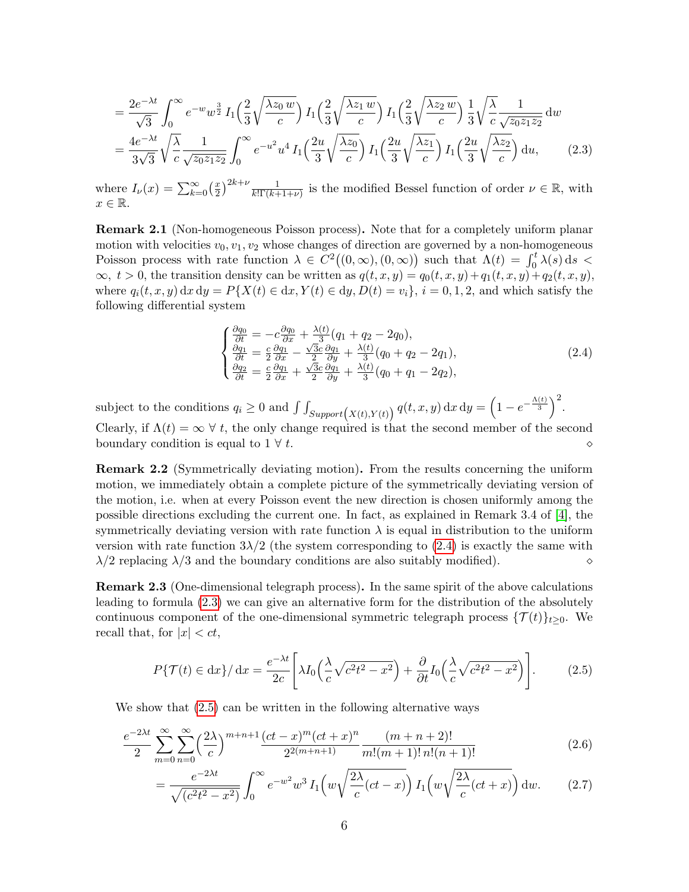$$
= \frac{2e^{-\lambda t}}{\sqrt{3}} \int_0^\infty e^{-w} w^{\frac{3}{2}} I_1\left(\frac{2}{3} \sqrt{\frac{\lambda z_0 w}{c}}\right) I_1\left(\frac{2}{3} \sqrt{\frac{\lambda z_1 w}{c}}\right) I_1\left(\frac{2}{3} \sqrt{\frac{\lambda z_2 w}{c}}\right) \frac{1}{3} \sqrt{\frac{\lambda}{c}} \frac{1}{\sqrt{z_0 z_1 z_2}} dw
$$
  

$$
= \frac{4e^{-\lambda t}}{3\sqrt{3}} \sqrt{\frac{\lambda}{c}} \frac{1}{\sqrt{z_0 z_1 z_2}} \int_0^\infty e^{-u^2} u^4 I_1\left(\frac{2u}{3} \sqrt{\frac{\lambda z_0}{c}}\right) I_1\left(\frac{2u}{3} \sqrt{\frac{\lambda z_1}{c}}\right) I_1\left(\frac{2u}{3} \sqrt{\frac{\lambda z_2}{c}}\right) du, \tag{2.3}
$$

where  $I_{\nu}(x) = \sum_{k=0}^{\infty} \left(\frac{x}{2}\right)$  $\frac{x}{2}^{2k+\nu} \frac{1}{k! \Gamma(k+1+\nu)}$  is the modified Bessel function of order  $\nu \in \mathbb{R}$ , with  $x \in \mathbb{R}$ .

Remark 2.1 (Non-homogeneous Poisson process). Note that for a completely uniform planar motion with velocities  $v_0, v_1, v_2$  whose changes of direction are governed by a non-homogeneous Poisson process with rate function  $\lambda \in C^2((0,\infty),(0,\infty))$  such that  $\Lambda(t) = \int_0^t \lambda(s) ds$  $\infty, t > 0$ , the transition density can be written as  $q(t, x, y) = q_0(t, x, y) + q_1(t, x, y) + q_2(t, x, y)$ , where  $q_i(t, x, y) dx dy = P{X(t) \in dx, Y(t) \in dy, D(t) = v_i}, i = 0, 1, 2$ , and which satisfy the following differential system

<span id="page-5-1"></span><span id="page-5-0"></span>
$$
\begin{cases}\n\frac{\partial q_0}{\partial t} = -c \frac{\partial q_0}{\partial x} + \frac{\lambda(t)}{3} (q_1 + q_2 - 2q_0),\n\frac{\partial q_1}{\partial t} = \frac{c}{2} \frac{\partial q_1}{\partial x} - \frac{\sqrt{3}c}{2} \frac{\partial q_1}{\partial y} + \frac{\lambda(t)}{3} (q_0 + q_2 - 2q_1),\n\frac{\partial q_2}{\partial t} = \frac{c}{2} \frac{\partial q_1}{\partial x} + \frac{\sqrt{3}c}{2} \frac{\partial q_1}{\partial y} + \frac{\lambda(t)}{3} (q_0 + q_1 - 2q_2),\n\end{cases} (2.4)
$$

subject to the conditions  $q_i \ge 0$  and  $\int \int_{Support(X(t),Y(t))} q(t,x,y) dx dy = \left(1 - e^{-\frac{\Lambda(t)}{3}}\right)^2$ . Clearly, if  $\Lambda(t) = \infty \ \forall t$ , the only change required is that the second member of the second boundary condition is equal to  $1 \forall t$ .

<span id="page-5-5"></span>Remark 2.2 (Symmetrically deviating motion). From the results concerning the uniform motion, we immediately obtain a complete picture of the symmetrically deviating version of the motion, i.e. when at every Poisson event the new direction is chosen uniformly among the possible directions excluding the current one. In fact, as explained in Remark 3.4 of [\[4\]](#page-24-4), the symmetrically deviating version with rate function  $\lambda$  is equal in distribution to the uniform version with rate function  $3\lambda/2$  (the system corresponding to [\(2.4\)](#page-5-0) is exactly the same with  $\lambda/2$  replacing  $\lambda/3$  and the boundary conditions are also suitably modified).

Remark 2.3 (One-dimensional telegraph process). In the same spirit of the above calculations leading to formula [\(2.3\)](#page-5-1) we can give an alternative form for the distribution of the absolutely continuous component of the one-dimensional symmetric telegraph process  $\{\mathcal{T}(t)\}_{t\geq 0}$ . We recall that, for  $|x| < ct$ ,

<span id="page-5-4"></span><span id="page-5-2"></span>
$$
P\{\mathcal{T}(t) \in dx\} / dx = \frac{e^{-\lambda t}}{2c} \left[ \lambda I_0 \left( \frac{\lambda}{c} \sqrt{c^2 t^2 - x^2} \right) + \frac{\partial}{\partial t} I_0 \left( \frac{\lambda}{c} \sqrt{c^2 t^2 - x^2} \right) \right].
$$
 (2.5)

We show that  $(2.5)$  can be written in the following alternative ways

$$
\frac{e^{-2\lambda t}}{2} \sum_{m=0}^{\infty} \sum_{n=0}^{\infty} \left(\frac{2\lambda}{c}\right)^{m+n+1} \frac{(ct-x)^m (ct+x)^n}{2^{2(m+n+1)}} \frac{(m+n+2)!}{m!(m+1)! \, n!(n+1)!} \tag{2.6}
$$

<span id="page-5-3"></span>
$$
=\frac{e^{-2\lambda t}}{\sqrt{(c^2t^2-x^2)}}\int_0^\infty e^{-w^2}w^3 I_1\left(w\sqrt{\frac{2\lambda}{c}(ct-x)}\right)I_1\left(w\sqrt{\frac{2\lambda}{c}(ct+x)}\right)dw.\tag{2.7}
$$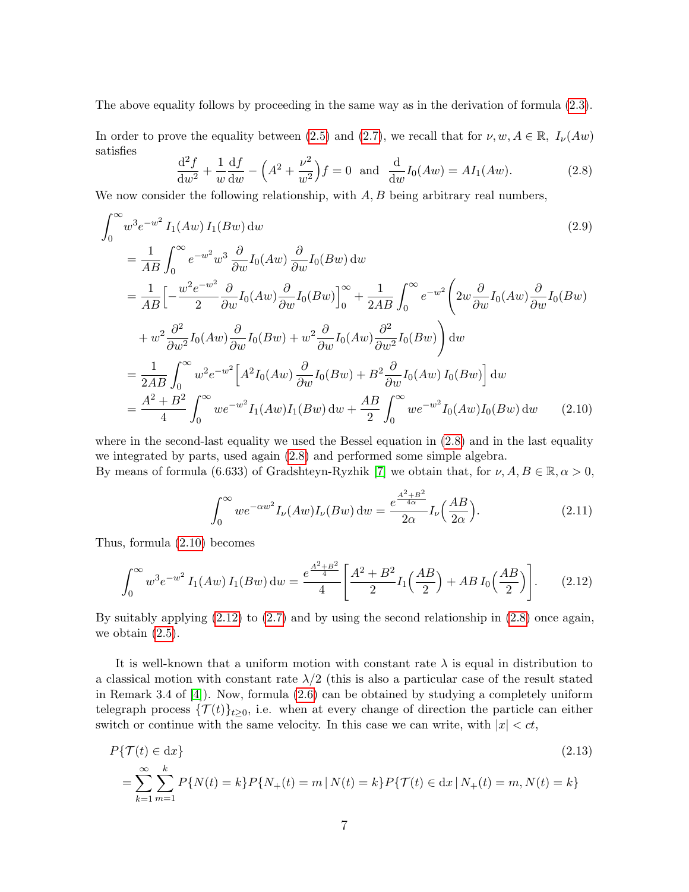The above equality follows by proceeding in the same way as in the derivation of formula [\(2.3\)](#page-5-1).

In order to prove the equality between [\(2.5\)](#page-5-2) and [\(2.7\)](#page-5-3), we recall that for  $\nu, w, A \in \mathbb{R}$ ,  $I_{\nu}(Aw)$ satisfies

<span id="page-6-0"></span>
$$
\frac{d^2 f}{dw^2} + \frac{1}{w} \frac{df}{dw} - \left(A^2 + \frac{\nu^2}{w^2}\right) f = 0 \text{ and } \frac{d}{dw} I_0(Aw) = A I_1(Aw).
$$
 (2.8)

We now consider the following relationship, with  $A, B$  being arbitrary real numbers,

$$
\int_0^\infty w^3 e^{-w^2} I_1(Aw) I_1(Bw) dw
$$
\n
$$
= \frac{1}{AB} \int_0^\infty e^{-w^2} w^3 \frac{\partial}{\partial w} I_0(Aw) \frac{\partial}{\partial w} I_0(Bw) dw
$$
\n
$$
= \frac{1}{AB} \Big[ -\frac{w^2 e^{-w^2}}{2} \frac{\partial}{\partial w} I_0(Aw) \frac{\partial}{\partial w} I_0(Bw) \Big]_0^\infty + \frac{1}{2AB} \int_0^\infty e^{-w^2} \Big( 2w \frac{\partial}{\partial w} I_0(Aw) \frac{\partial}{\partial w} I_0(Bw) + w^2 \frac{\partial^2}{\partial w^2} I_0(Aw) \frac{\partial}{\partial w} I_0(Bw) + w^2 \frac{\partial}{\partial w} I_0(Aw) \frac{\partial^2}{\partial w^2} I_0(Bw) \Big) dw
$$
\n
$$
= \frac{1}{2AB} \int_0^\infty w^2 e^{-w^2} \Big[ A^2 I_0(Aw) \frac{\partial}{\partial w} I_0(Bw) + B^2 \frac{\partial}{\partial w} I_0(Aw) I_0(Bw) \Big] dw
$$
\n
$$
= \frac{A^2 + B^2}{4} \int_0^\infty w e^{-w^2} I_1(Aw) I_1(Bw) dw + \frac{AB}{2} \int_0^\infty w e^{-w^2} I_0(Aw) I_0(Bw) dw \qquad (2.10)
$$

where in the second-last equality we used the Bessel equation in  $(2.8)$  and in the last equality we integrated by parts, used again [\(2.8\)](#page-6-0) and performed some simple algebra. By means of formula (6.633) of Gradshteyn-Ryzhik [\[7\]](#page-24-5) we obtain that, for  $\nu, A, B \in \mathbb{R}, \alpha > 0$ ,

<span id="page-6-1"></span>
$$
\int_0^\infty w e^{-\alpha w^2} I_\nu(Aw) I_\nu(Bw) \, \mathrm{d}w = \frac{e^{\frac{A^2 + B^2}{4\alpha}}}{2\alpha} I_\nu\left(\frac{AB}{2\alpha}\right). \tag{2.11}
$$

Thus, formula [\(2.10\)](#page-6-1) becomes

<span id="page-6-2"></span>
$$
\int_0^\infty w^3 e^{-w^2} I_1(Aw) I_1(Bw) \, dw = \frac{e^{\frac{A^2 + B^2}{4}}}{4} \left[ \frac{A^2 + B^2}{2} I_1\left(\frac{AB}{2}\right) + AB I_0\left(\frac{AB}{2}\right) \right]. \tag{2.12}
$$

By suitably applying [\(2.12\)](#page-6-2) to [\(2.7\)](#page-5-3) and by using the second relationship in [\(2.8\)](#page-6-0) once again, we obtain  $(2.5)$ .

It is well-known that a uniform motion with constant rate  $\lambda$  is equal in distribution to a classical motion with constant rate  $\lambda/2$  (this is also a particular case of the result stated in Remark 3.4 of [\[4\]](#page-24-4)). Now, formula [\(2.6\)](#page-5-4) can be obtained by studying a completely uniform telegraph process  $\{\mathcal{T}(t)\}_{t\geq 0}$ , i.e. when at every change of direction the particle can either switch or continue with the same velocity. In this case we can write, with  $|x| < ct$ ,

<span id="page-6-3"></span>
$$
P\{\mathcal{T}(t) \in dx\}
$$
\n
$$
= \sum_{k=1}^{\infty} \sum_{m=1}^{k} P\{N(t) = k\} P\{N_+(t) = m \mid N(t) = k\} P\{\mathcal{T}(t) \in dx \mid N_+(t) = m, N(t) = k\}
$$
\n(2.13)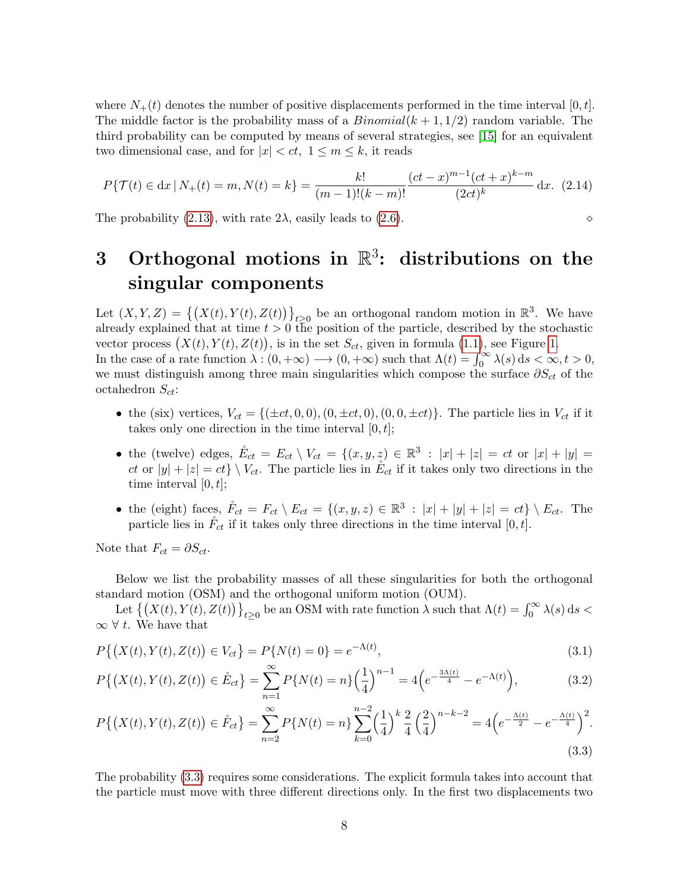where  $N_{+}(t)$  denotes the number of positive displacements performed in the time interval [0, t]. The middle factor is the probability mass of a  $Binomial(k + 1, 1/2)$  random variable. The third probability can be computed by means of several strategies, see [\[15\]](#page-25-18) for an equivalent two dimensional case, and for  $|x| < ct$ ,  $1 \le m \le k$ , it reads

$$
P\{\mathcal{T}(t) \in \mathrm{d}x \,|\, N_+(t) = m, N(t) = k\} = \frac{k!}{(m-1)!(k-m)!} \frac{(ct-x)^{m-1}(ct+x)^{k-m}}{(2ct)^k} \,\mathrm{d}x. \tag{2.14}
$$

The probability [\(2.13\)](#page-6-3), with rate  $2\lambda$ , easily leads to [\(2.6\)](#page-5-4).

## 3 Orthogonal motions in  $\mathbb{R}^3$ : distributions on the singular components

Let  $(X, Y, Z) = \{(X(t), Y(t), Z(t))\}_{t \geq 0}$  be an orthogonal random motion in  $\mathbb{R}^3$ . We have already explained that at time  $t > 0$  the position of the particle, described by the stochastic vector process  $(X(t), Y(t), Z(t))$ , is in the set  $S_{ct}$ , given in formula [\(1.1\)](#page-2-1), see Figure [1.](#page-2-0) In the case of a rate function  $\lambda : (0, +\infty) \longrightarrow (0, +\infty)$  such that  $\Lambda(t) = \int_0^\infty \lambda(s) ds < \infty, t > 0$ , we must distinguish among three main singularities which compose the surface  $\partial S_{ct}$  of the octahedron  $S_{ct}$ :

- the (six) vertices,  $V_{ct} = \{(\pm ct, 0, 0), (0, \pm ct, 0), (0, 0, \pm ct)\}\.$  The particle lies in  $V_{ct}$  if it takes only one direction in the time interval  $[0, t]$ ;
- the (twelve) edges,  $\mathring{E}_{ct} = E_{ct} \setminus V_{ct} = \{(x, y, z) \in \mathbb{R}^3 : |x| + |z| = ct \text{ or } |x| + |y| =$ ct or  $|y| + |z| = ct$   $\setminus V_{ct}$ . The particle lies in  $\mathring{E}_{ct}$  if it takes only two directions in the time interval  $[0, t]$ ;
- <span id="page-7-2"></span>• the (eight) faces,  $\mathring{F}_{ct} = F_{ct} \setminus E_{ct} = \{(x, y, z) \in \mathbb{R}^3 : |x| + |y| + |z| = ct\} \setminus E_{ct}$ . The particle lies in  $\mathring{F}_{ct}$  if it takes only three directions in the time interval  $[0, t]$ .

Note that  $F_{ct} = \partial S_{ct}$ .

Below we list the probability masses of all these singularities for both the orthogonal standard motion (OSM) and the orthogonal uniform motion (OUM).

Let  $\{(X(t), Y(t), Z(t))\}_{t\geq 0}$  be an OSM with rate function  $\lambda$  such that  $\Lambda(t) = \int_0^\infty \lambda(s) ds$  $\infty$  ∀ t. We have that

$$
P\{(X(t), Y(t), Z(t)) \in V_{ct}\} = P\{N(t) = 0\} = e^{-\Lambda(t)},
$$
\n(3.1)

<span id="page-7-1"></span>
$$
P\{(X(t), Y(t), Z(t)) \in \mathring{E}_{ct}\} = \sum_{n=1}^{\infty} P\{N(t) = n\} \left(\frac{1}{4}\right)^{n-1} = 4\left(e^{-\frac{3\Lambda(t)}{4}} - e^{-\Lambda(t)}\right),\tag{3.2}
$$

<span id="page-7-0"></span>
$$
P\{(X(t), Y(t), Z(t)) \in \mathring{F}_{ct}\} = \sum_{n=2}^{\infty} P\{N(t) = n\} \sum_{k=0}^{n-2} \left(\frac{1}{4}\right)^k \frac{2}{4} \left(\frac{2}{4}\right)^{n-k-2} = 4\left(e^{-\frac{\Lambda(t)}{2}} - e^{-\frac{\Lambda(t)}{4}}\right)^2.
$$
\n(3.3)

The probability [\(3.3\)](#page-7-0) requires some considerations. The explicit formula takes into account that the particle must move with three different directions only. In the first two displacements two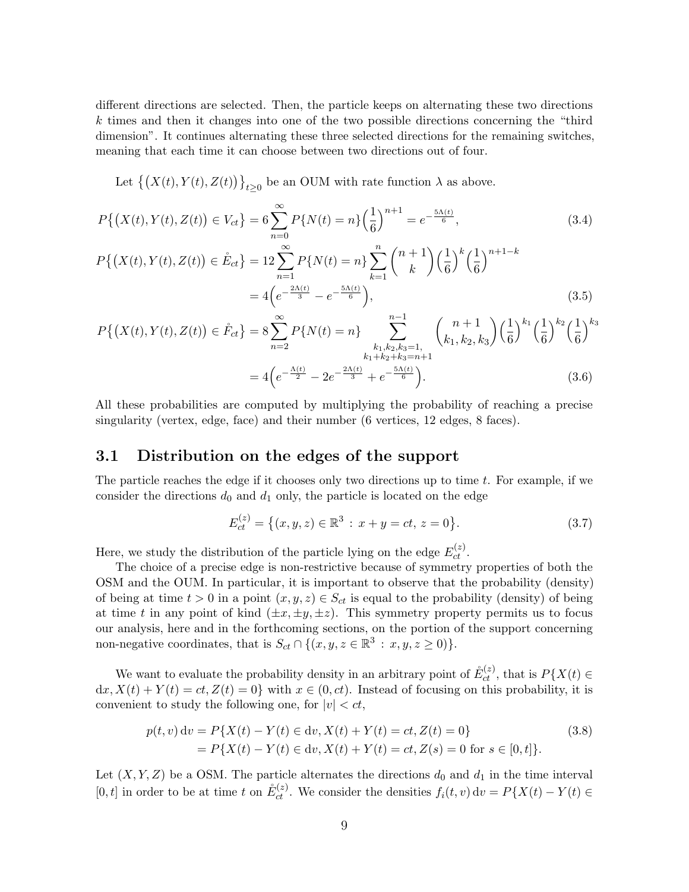different directions are selected. Then, the particle keeps on alternating these two directions k times and then it changes into one of the two possible directions concerning the "third dimension". It continues alternating these three selected directions for the remaining switches, meaning that each time it can choose between two directions out of four.

Let  $\{(X(t), Y(t), Z(t))\}_{t\geq 0}$  be an OUM with rate function  $\lambda$  as above.

$$
P\{(X(t), Y(t), Z(t)) \in V_{ct}\} = 6\sum_{n=0}^{\infty} P\{N(t) = n\} \left(\frac{1}{6}\right)^{n+1} = e^{-\frac{5\Lambda(t)}{6}},\tag{3.4}
$$

$$
P\{(X(t), Y(t), Z(t)) \in \mathring{E}_{ct}\} = 12 \sum_{n=1}^{\infty} P\{N(t) = n\} \sum_{k=1}^{n} {n+1 \choose k} \left(\frac{1}{6}\right)^k \left(\frac{1}{6}\right)^{n+1-k}
$$

$$
= 4\left(e^{-\frac{2\Lambda(t)}{3}} - e^{-\frac{5\Lambda(t)}{6}}\right),\tag{3.5}
$$

$$
P\{(X(t), Y(t), Z(t)) \in \mathring{F}_{ct}\} = 8 \sum_{n=2}^{\infty} P\{N(t) = n\} \sum_{\substack{k_1, k_2, k_3 = 1, \\ k_1 + k_2 + k_3 = n + 1}}^{n-1} {n+1 \choose k_1, k_2, k_3} \left(\frac{1}{6}\right)^{k_1} \left(\frac{1}{6}\right)^{k_2} \left(\frac{1}{6}\right)^{k_3}
$$

$$
= 4\left(e^{-\frac{\Lambda(t)}{2}} - 2e^{-\frac{2\Lambda(t)}{3}} + e^{-\frac{5\Lambda(t)}{6}}\right).
$$
(3.6)

All these probabilities are computed by multiplying the probability of reaching a precise singularity (vertex, edge, face) and their number (6 vertices, 12 edges, 8 faces).

#### 3.1 Distribution on the edges of the support

The particle reaches the edge if it chooses only two directions up to time  $t$ . For example, if we consider the directions  $d_0$  and  $d_1$  only, the particle is located on the edge

<span id="page-8-0"></span>
$$
E_{ct}^{(z)} = \{(x, y, z) \in \mathbb{R}^3 : x + y = ct, z = 0\}.
$$
 (3.7)

Here, we study the distribution of the particle lying on the edge  $E_{ct}^{(z)}$ .

The choice of a precise edge is non-restrictive because of symmetry properties of both the OSM and the OUM. In particular, it is important to observe that the probability (density) of being at time  $t > 0$  in a point  $(x, y, z) \in S_{ct}$  is equal to the probability (density) of being at time t in any point of kind  $(\pm x, \pm y, \pm z)$ . This symmetry property permits us to focus our analysis, here and in the forthcoming sections, on the portion of the support concerning non-negative coordinates, that is  $S_{ct} \cap \{(x, y, z \in \mathbb{R}^3 : x, y, z \ge 0)\}.$ 

We want to evaluate the probability density in an arbitrary point of  $\mathring{E}_{ct}^{(z)}$ , that is  $P\{X(t) \in$  $dx, X(t) + Y(t) = ct, Z(t) = 0$  with  $x \in (0, ct)$ . Instead of focusing on this probability, it is convenient to study the following one, for  $|v| < ct$ ,

$$
p(t, v) dv = P\{X(t) - Y(t) \in dv, X(t) + Y(t) = ct, Z(t) = 0\}
$$
\n
$$
= P\{X(t) - Y(t) \in dv, X(t) + Y(t) = ct, Z(s) = 0 \text{ for } s \in [0, t]\}.
$$
\n(3.8)

Let  $(X, Y, Z)$  be a OSM. The particle alternates the directions  $d_0$  and  $d_1$  in the time interval  $[0, t]$  in order to be at time t on  $\mathring{E}_{ct}^{(z)}$ . We consider the densities  $f_i(t, v) dv = P\{X(t) - Y(t) \in$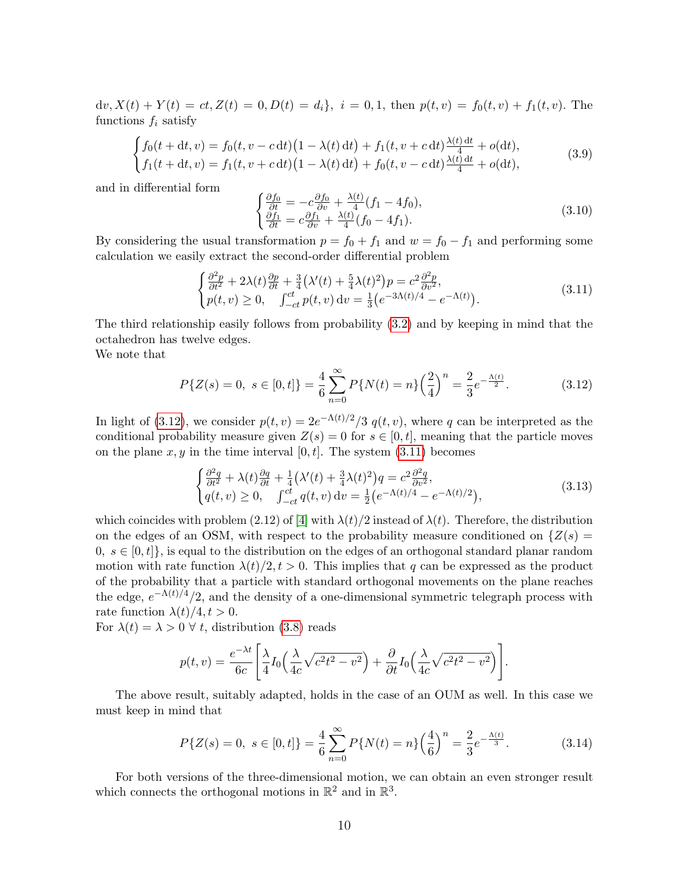$dv, X(t) + Y(t) = ct, Z(t) = 0, D(t) = d_i$ ,  $i = 0, 1$ , then  $p(t, v) = f_0(t, v) + f_1(t, v)$ . The functions  $f_i$  satisfy

<span id="page-9-2"></span>
$$
\begin{cases}\nf_0(t + dt, v) = f_0(t, v - c \, dt)(1 - \lambda(t) \, dt) + f_1(t, v + c \, dt) \frac{\lambda(t) \, dt}{4} + o(dt), \\
f_1(t + dt, v) = f_1(t, v + c \, dt)(1 - \lambda(t) \, dt) + f_0(t, v - c \, dt) \frac{\lambda(t) \, dt}{4} + o(dt),\n\end{cases} \tag{3.9}
$$

and in differential form

$$
\begin{cases}\n\frac{\partial f_0}{\partial t} = -c \frac{\partial f_0}{\partial v} + \frac{\lambda(t)}{4} (f_1 - 4f_0),\\ \n\frac{\partial f_1}{\partial t} = c \frac{\partial f_1}{\partial v} + \frac{\lambda(t)}{4} (f_0 - 4f_1).\n\end{cases} \tag{3.10}
$$

By considering the usual transformation  $p = f_0 + f_1$  and  $w = f_0 - f_1$  and performing some calculation we easily extract the second-order differential problem

<span id="page-9-1"></span>
$$
\begin{cases} \frac{\partial^2 p}{\partial t^2} + 2\lambda(t) \frac{\partial p}{\partial t} + \frac{3}{4} \left( \lambda'(t) + \frac{5}{4} \lambda(t)^2 \right) p = c^2 \frac{\partial^2 p}{\partial v^2}, \\ p(t, v) \ge 0, \quad \int_{-ct}^{ct} p(t, v) dv = \frac{1}{3} \left( e^{-3\Lambda(t)/4} - e^{-\Lambda(t)} \right). \end{cases} \tag{3.11}
$$

The third relationship easily follows from probability [\(3.2\)](#page-7-1) and by keeping in mind that the octahedron has twelve edges.

We note that

<span id="page-9-0"></span>
$$
P\{Z(s) = 0, \ s \in [0, t]\} = \frac{4}{6} \sum_{n=0}^{\infty} P\{N(t) = n\} \left(\frac{2}{4}\right)^n = \frac{2}{3} e^{-\frac{\Lambda(t)}{2}}.
$$
 (3.12)

In light of [\(3.12\)](#page-9-0), we consider  $p(t, v) = 2e^{-\Lambda(t)/2}/3$   $q(t, v)$ , where q can be interpreted as the conditional probability measure given  $Z(s) = 0$  for  $s \in [0, t]$ , meaning that the particle moves on the plane  $x, y$  in the time interval [0, t]. The system  $(3.11)$  becomes

$$
\begin{cases} \frac{\partial^2 q}{\partial t^2} + \lambda(t) \frac{\partial q}{\partial t} + \frac{1}{4} (\lambda'(t) + \frac{3}{4} \lambda(t)^2) q = c^2 \frac{\partial^2 q}{\partial v^2}, \\ q(t, v) \ge 0, \quad \int_{-ct}^{ct} q(t, v) dv = \frac{1}{2} (e^{-\Lambda(t)/4} - e^{-\Lambda(t)/2}), \end{cases} (3.13)
$$

which coincides with problem (2.12) of [\[4\]](#page-24-4) with  $\lambda(t)/2$  instead of  $\lambda(t)$ . Therefore, the distribution on the edges of an OSM, with respect to the probability measure conditioned on  $\{Z(s) =$  $0, s \in [0, t]$ , is equal to the distribution on the edges of an orthogonal standard planar random motion with rate function  $\lambda(t)/2$ ,  $t > 0$ . This implies that q can be expressed as the product of the probability that a particle with standard orthogonal movements on the plane reaches the edge,  $e^{-\Lambda(t)/4}/2$ , and the density of a one-dimensional symmetric telegraph process with rate function  $\lambda(t)/4, t > 0$ .

For  $\lambda(t) = \lambda > 0 \ \forall \ t$ , distribution [\(3.8\)](#page-8-0) reads

$$
p(t,v) = \frac{e^{-\lambda t}}{6c} \left[ \frac{\lambda}{4} I_0 \left( \frac{\lambda}{4c} \sqrt{c^2 t^2 - v^2} \right) + \frac{\partial}{\partial t} I_0 \left( \frac{\lambda}{4c} \sqrt{c^2 t^2 - v^2} \right) \right].
$$

The above result, suitably adapted, holds in the case of an OUM as well. In this case we must keep in mind that

$$
P\{Z(s) = 0, \ s \in [0, t]\} = \frac{4}{6} \sum_{n=0}^{\infty} P\{N(t) = n\} \left(\frac{4}{6}\right)^n = \frac{2}{3} e^{-\frac{\Lambda(t)}{3}}.
$$
 (3.14)

For both versions of the three-dimensional motion, we can obtain an even stronger result which connects the orthogonal motions in  $\mathbb{R}^2$  and in  $\mathbb{R}^3$ .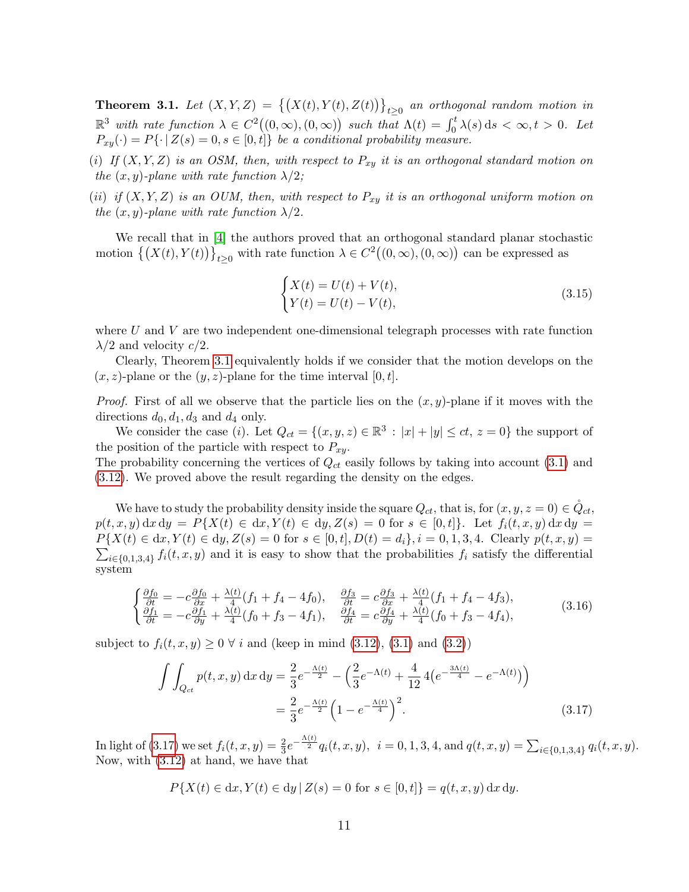<span id="page-10-0"></span>**Theorem 3.1.** Let  $(X, Y, Z) = \{(X(t), Y(t), Z(t))\}_{t \geq 0}$  an orthogonal random motion in  $\mathbb{R}^3$  with rate function  $\lambda \in C^2((0,\infty), (0,\infty))$  such that  $\Lambda(t) = \int_0^t \lambda(s) ds < \infty, t > 0$ . Let  $P_{xy}(\cdot) = P\{\cdot | Z(s) = 0, s \in [0, t] \}$  be a conditional probability measure.

- (i) If  $(X, Y, Z)$  is an OSM, then, with respect to  $P_{xy}$  it is an orthogonal standard motion on the  $(x, y)$ -plane with rate function  $\lambda/2$ ;
- (ii) if  $(X, Y, Z)$  is an OUM, then, with respect to  $P_{xy}$  it is an orthogonal uniform motion on the  $(x, y)$ -plane with rate function  $\lambda/2$ .

We recall that in [\[4\]](#page-24-4) the authors proved that an orthogonal standard planar stochastic motion  $\{(X(t), Y(t))\}_{t\geq 0}$  with rate function  $\lambda \in C^2((0, \infty), (0, \infty))$  can be expressed as

<span id="page-10-3"></span>
$$
\begin{cases}\nX(t) = U(t) + V(t), \\
Y(t) = U(t) - V(t),\n\end{cases}
$$
\n(3.15)

where  $U$  and  $V$  are two independent one-dimensional telegraph processes with rate function  $\lambda/2$  and velocity  $c/2$ .

Clearly, Theorem [3.1](#page-10-0) equivalently holds if we consider that the motion develops on the  $(x, z)$ -plane or the  $(y, z)$ -plane for the time interval  $[0, t]$ .

*Proof.* First of all we observe that the particle lies on the  $(x, y)$ -plane if it moves with the directions  $d_0, d_1, d_3$  and  $d_4$  only.

We consider the case (*i*). Let  $Q_{ct} = \{(x, y, z) \in \mathbb{R}^3 : |x| + |y| \le ct, z = 0\}$  the support of the position of the particle with respect to  $P_{xy}$ .

The probability concerning the vertices of  $Q_{ct}$  easily follows by taking into account [\(3.1\)](#page-7-2) and [\(3.12\)](#page-9-0). We proved above the result regarding the density on the edges.

We have to study the probability density inside the square  $Q_{ct}$ , that is, for  $(x, y, z = 0) \in \mathring{Q}_{ct}$ ,  $p(t, x, y) dx dy = P\{X(t) \in dx, Y(t) \in dy, Z(s) = 0 \text{ for } s \in [0, t]\}.$  Let  $f_i(t, x, y) dx dy =$  $P{X(t) \in dx, Y(t) \in dy, Z(s) = 0 \text{ for } s \in [0, t], D(t) = d_i}, i = 0, 1, 3, 4.$  Clearly  $p(t, x, y) =$  $\sum_{i\in\{0,1,3,4\}} f_i(t,x,y)$  and it is easy to show that the probabilities  $f_i$  satisfy the differential system

<span id="page-10-2"></span>
$$
\begin{cases}\n\frac{\partial f_0}{\partial t} = -c \frac{\partial f_0}{\partial x} + \frac{\lambda(t)}{4} (f_1 + f_4 - 4f_0), & \frac{\partial f_3}{\partial t} = c \frac{\partial f_3}{\partial x} + \frac{\lambda(t)}{4} (f_1 + f_4 - 4f_3), \\
\frac{\partial f_1}{\partial t} = -c \frac{\partial f_1}{\partial y} + \frac{\lambda(t)}{4} (f_0 + f_3 - 4f_1), & \frac{\partial f_4}{\partial t} = c \frac{\partial f_4}{\partial y} + \frac{\lambda(t)}{4} (f_0 + f_3 - 4f_4),\n\end{cases} (3.16)
$$

subject to  $f_i(t, x, y) \geq 0 \ \forall i$  and (keep in mind [\(3.12\)](#page-9-0), [\(3.1\)](#page-7-2) and [\(3.2\)](#page-7-1))

$$
\int \int_{Q_{ct}} p(t, x, y) dx dy = \frac{2}{3} e^{-\frac{\Lambda(t)}{2}} - \left(\frac{2}{3} e^{-\Lambda(t)} + \frac{4}{12} 4\left(e^{-\frac{3\Lambda(t)}{4}} - e^{-\Lambda(t)}\right)\right)
$$

$$
= \frac{2}{3} e^{-\frac{\Lambda(t)}{2}} \left(1 - e^{-\frac{\Lambda(t)}{4}}\right)^2.
$$
(3.17)

In light of [\(3.17\)](#page-10-1) we set  $f_i(t, x, y) = \frac{2}{3}e^{-\frac{\Lambda(t)}{2}}q_i(t, x, y), i = 0, 1, 3, 4$ , and  $q(t, x, y) = \sum_{i \in \{0, 1, 3, 4\}} q_i(t, x, y)$ . Now, with [\(3.12\)](#page-9-0) at hand, we have that

<span id="page-10-1"></span>
$$
P\{X(t) \in dx, Y(t) \in dy \,|\, Z(s) = 0 \text{ for } s \in [0, t]\} = q(t, x, y) \,dx \,dy.
$$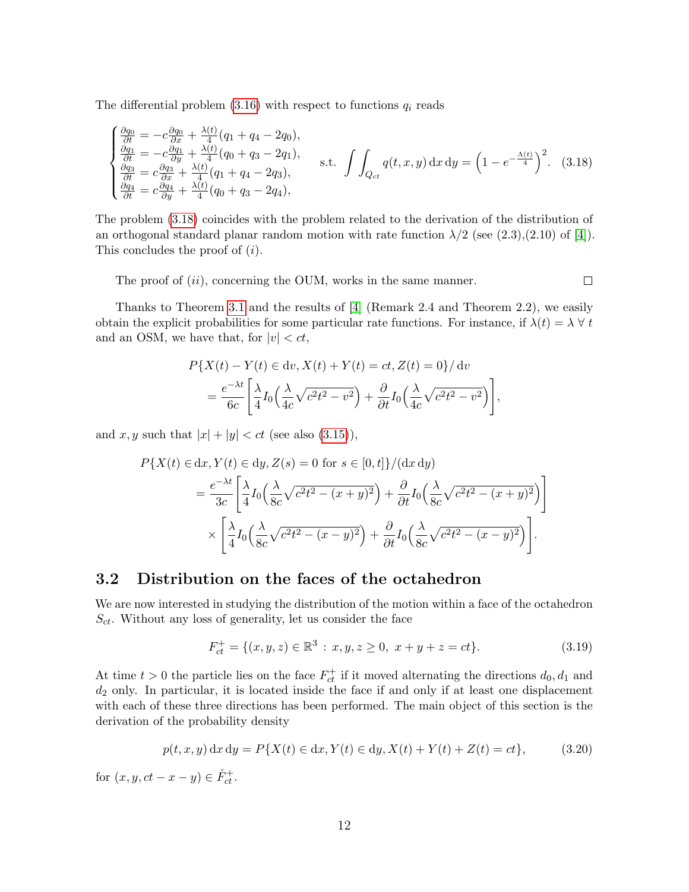The differential problem  $(3.16)$  with respect to functions  $q_i$  reads

<span id="page-11-0"></span>
$$
\begin{cases}\n\frac{\partial q_{0}}{\partial t} = -c \frac{\partial q_{0}}{\partial x} + \frac{\lambda(t)}{4} (q_{1} + q_{4} - 2q_{0}), \\
\frac{\partial q_{1}}{\partial t} = -c \frac{\partial q_{1}}{\partial y} + \frac{\lambda(t)}{4} (q_{0} + q_{3} - 2q_{1}), \\
\frac{\partial q_{3}}{\partial t} = c \frac{\partial q_{3}}{\partial x} + \frac{\lambda(t)}{4} (q_{1} + q_{4} - 2q_{3}), \\
\frac{\partial q_{4}}{\partial t} = c \frac{\partial q_{4}}{\partial y} + \frac{\lambda(t)}{4} (q_{0} + q_{3} - 2q_{4}),\n\end{cases} \quad \text{s.t.} \quad \int \int_{Q_{ct}} q(t, x, y) dx dy = \left(1 - e^{-\frac{\Lambda(t)}{4}}\right)^{2}. \quad (3.18)
$$

The problem [\(3.18\)](#page-11-0) coincides with the problem related to the derivation of the distribution of an orthogonal standard planar random motion with rate function  $\lambda/2$  (see (2.3),(2.10) of [\[4\]](#page-24-4)). This concludes the proof of (i).

The proof of  $(ii)$ , concerning the OUM, works in the same manner.

Thanks to Theorem [3.1](#page-10-0) and the results of [\[4\]](#page-24-4) (Remark 2.4 and Theorem 2.2), we easily obtain the explicit probabilities for some particular rate functions. For instance, if  $\lambda(t) = \lambda \,\forall\, t$ and an OSM, we have that, for  $|v| < ct$ ,

$$
P\{X(t) - Y(t) \in dv, X(t) + Y(t) = ct, Z(t) = 0\} / dv
$$
  
= 
$$
\frac{e^{-\lambda t}}{6c} \left[ \frac{\lambda}{4} I_0 \left( \frac{\lambda}{4c} \sqrt{c^2 t^2 - v^2} \right) + \frac{\partial}{\partial t} I_0 \left( \frac{\lambda}{4c} \sqrt{c^2 t^2 - v^2} \right) \right],
$$

and x, y such that  $|x| + |y| < ct$  (see also [\(3.15\)](#page-10-3)),

$$
P\{X(t) \in dx, Y(t) \in dy, Z(s) = 0 \text{ for } s \in [0, t]\}/(\mathrm{d}x \,\mathrm{d}y)
$$
  
= 
$$
\frac{e^{-\lambda t}}{3c} \left[ \frac{\lambda}{4} I_0 \left( \frac{\lambda}{8c} \sqrt{c^2 t^2 - (x+y)^2} \right) + \frac{\partial}{\partial t} I_0 \left( \frac{\lambda}{8c} \sqrt{c^2 t^2 - (x+y)^2} \right) \right]
$$
  

$$
\times \left[ \frac{\lambda}{4} I_0 \left( \frac{\lambda}{8c} \sqrt{c^2 t^2 - (x-y)^2} \right) + \frac{\partial}{\partial t} I_0 \left( \frac{\lambda}{8c} \sqrt{c^2 t^2 - (x-y)^2} \right) \right].
$$

#### <span id="page-11-1"></span>3.2 Distribution on the faces of the octahedron

We are now interested in studying the distribution of the motion within a face of the octahedron  $S_{ct}$ . Without any loss of generality, let us consider the face

$$
F_{ct}^{+} = \{(x, y, z) \in \mathbb{R}^{3} : x, y, z \ge 0, x + y + z = ct\}.
$$
 (3.19)

At time  $t > 0$  the particle lies on the face  $F_{ct}^+$  if it moved alternating the directions  $d_0, d_1$  and  $d_2$  only. In particular, it is located inside the face if and only if at least one displacement with each of these three directions has been performed. The main object of this section is the derivation of the probability density

$$
p(t, x, y) dx dy = P\{X(t) \in dx, Y(t) \in dy, X(t) + Y(t) + Z(t) = ct\},
$$
\n(3.20)

for  $(x, y, ct - x - y) \in \mathring{F}_{ct}^+$ .

 $\Box$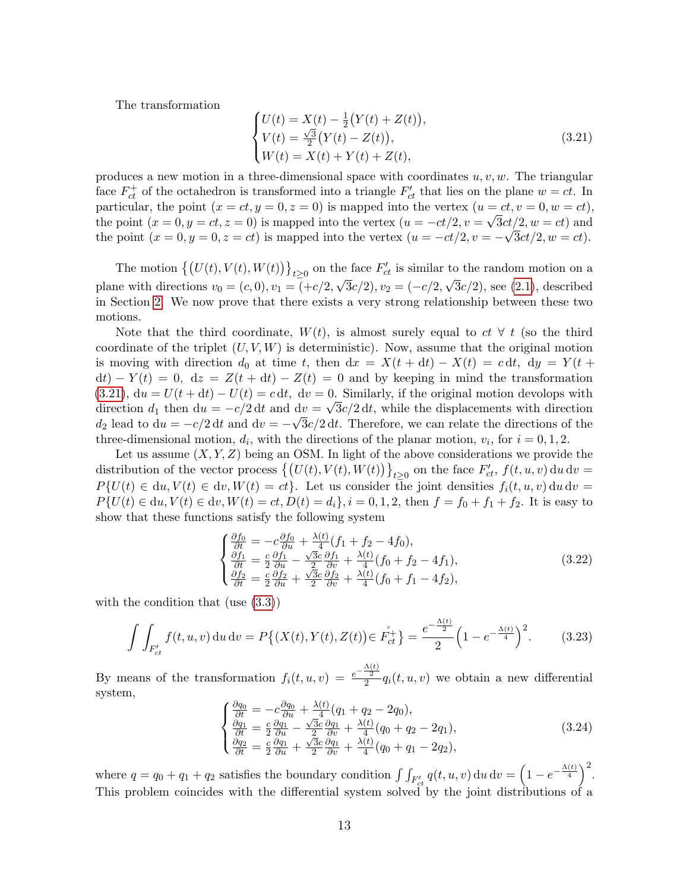The transformation

<span id="page-12-0"></span>
$$
\begin{cases}\nU(t) = X(t) - \frac{1}{2}(Y(t) + Z(t)), \\
V(t) = \frac{\sqrt{3}}{2}(Y(t) - Z(t)), \\
W(t) = X(t) + Y(t) + Z(t),\n\end{cases}
$$
\n(3.21)

produces a new motion in a three-dimensional space with coordinates  $u, v, w$ . The triangular face  $F_{ct}^+$  of the octahedron is transformed into a triangle  $F'_{ct}$  that lies on the plane  $w = ct$ . In particular, the point  $(x = ct, y = 0, z = 0)$  is mapped into the vertex  $(u = ct, v = 0, w = ct)$ , the point  $(x = 0, y = ct, z = 0)$  is mapped into the vertex  $(u = -ct/2, v = \sqrt{3ct/2}, w = ct)$  and the point  $(x = 0, y = 0, z = ct)$  is mapped into the vertex  $(u = -ct/2, v = -\sqrt{3ct/2}, w = ct)$ .

The motion  $\{(U(t), V(t), W(t))\}_{t\geq 0}$  on the face  $F'_{ct}$  is similar to the random motion on a plane with directions  $v_0 = (c, 0), v_1 = (+c/2, \sqrt{3c/2}), v_2 = (-c/2, \sqrt{3c/2}),$  see [\(2.1\)](#page-4-0), described in Section [2.](#page-4-2) We now prove that there exists a very strong relationship between these two motions.

Note that the third coordinate,  $W(t)$ , is almost surely equal to  $ct \forall t$  (so the third coordinate of the triplet  $(U, V, W)$  is deterministic). Now, assume that the original motion is moving with direction  $d_0$  at time t, then  $dx = X(t + dt) - X(t) = c dt$ ,  $dy = Y(t +$  $dt$ ) −  $Y(t) = 0$ ,  $dz = Z(t + dt) - Z(t) = 0$  and by keeping in mind the transformation [\(3.21\)](#page-12-0),  $du = U(t + dt) - U(t) = c dt$ ,  $dv = 0$ . Similarly, if the original motion devolops with direction  $d_1$  then  $du = -c/2 dt$  and  $dv = \sqrt{3c/2} dt$ , while the displacements with direction  $d_2$  lead to  $du = -c/2 dt$  and  $dv = -\sqrt{3c/2} dt$ . Therefore, we can relate the directions of the three-dimensional motion,  $d_i$ , with the directions of the planar motion,  $v_i$ , for  $i = 0, 1, 2$ .

Let us assume  $(X, Y, Z)$  being an OSM. In light of the above considerations we provide the distribution of the vector process  $\{(U(t), V(t), W(t))\}_{t\geq 0}$  on the face  $F'_{ct}$ ,  $f(t, u, v)$  du dv =  $P\{U(t) \in du, V(t) \in dv, W(t) = ct\}$ . Let us consider the joint densities  $f_i(t, u, v) du dv =$  $P\{U(t) \in du, V(t) \in dv, W(t) = ct, D(t) = d_i\}, i = 0, 1, 2$ , then  $f = f_0 + f_1 + f_2$ . It is easy to show that these functions satisfy the following system

$$
\begin{cases}\n\frac{\partial f_0}{\partial t} = -c \frac{\partial f_0}{\partial u} + \frac{\lambda(t)}{4} (f_1 + f_2 - 4f_0),\n\frac{\partial f_1}{\partial t} = \frac{c}{2} \frac{\partial f_1}{\partial u} - \frac{\sqrt{3}c}{2} \frac{\partial f_1}{\partial v} + \frac{\lambda(t)}{4} (f_0 + f_2 - 4f_1),\n\frac{\partial f_2}{\partial t} = \frac{c}{2} \frac{\partial f_2}{\partial u} + \frac{\sqrt{3}c}{2} \frac{\partial f_2}{\partial v} + \frac{\lambda(t)}{4} (f_0 + f_1 - 4f_2),\n\end{cases}
$$
\n(3.22)

with the condition that (use  $(3.3)$ )

$$
\int \int_{F'_{ct}} f(t, u, v) \, du \, dv = P\{(X(t), Y(t), Z(t)) \in \mathring{F}_{ct}^+\} = \frac{e^{-\frac{\Lambda(t)}{2}}}{2} \left(1 - e^{-\frac{\Lambda(t)}{4}}\right)^2. \tag{3.23}
$$

By means of the transformation  $f_i(t, u, v) = \frac{e^{-\frac{\Lambda(t)}{2}}}{2} q_i(t, u, v)$  we obtain a new differential system,

$$
\begin{cases}\n\frac{\partial q_0}{\partial t} = -c \frac{\partial q_0}{\partial u} + \frac{\lambda(t)}{4} (q_1 + q_2 - 2q_0), \\
\frac{\partial q_1}{\partial t} = \frac{c}{2} \frac{\partial q_1}{\partial u} - \frac{\sqrt{3}c}{2} \frac{\partial q_1}{\partial v} + \frac{\lambda(t)}{4} (q_0 + q_2 - 2q_1), \\
\frac{\partial q_2}{\partial t} = \frac{c}{2} \frac{\partial q_1}{\partial u} + \frac{\sqrt{3}c}{2} \frac{\partial q_1}{\partial v} + \frac{\lambda(t)}{4} (q_0 + q_1 - 2q_2),\n\end{cases} (3.24)
$$

where  $q = q_0 + q_1 + q_2$  satisfies the boundary condition  $\int \int_{F'_{ct}} q(t, u, v) du dv = \left(1 - e^{-\frac{\Lambda(t)}{4}}\right)^2$ . This problem coincides with the differential system solved by the joint distributions of a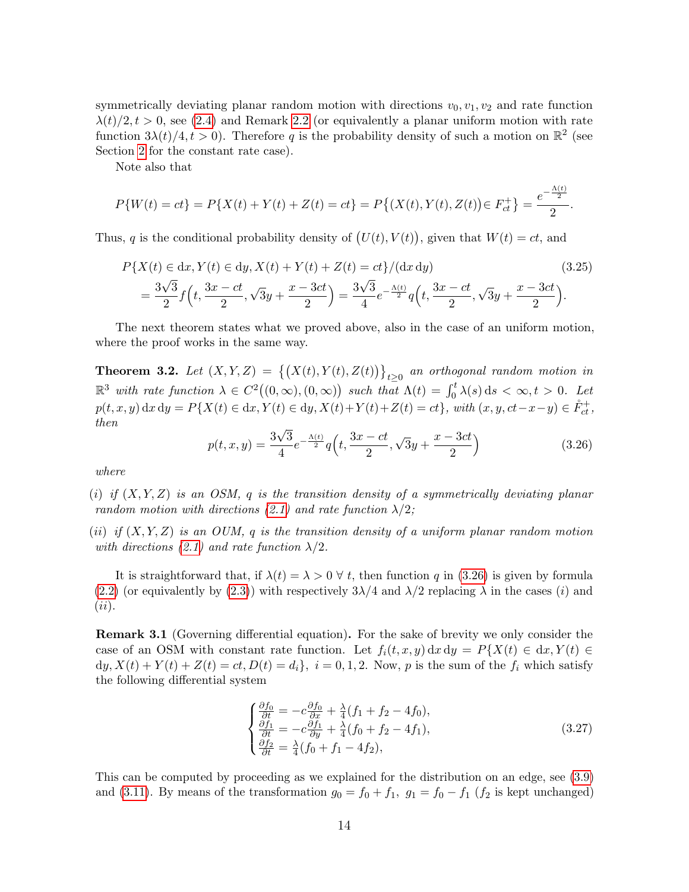symmetrically deviating planar random motion with directions  $v_0, v_1, v_2$  and rate function  $\lambda(t)/2$ ,  $t > 0$ , see [\(2.4\)](#page-5-0) and Remark [2.2](#page-5-5) (or equivalently a planar uniform motion with rate function  $3\lambda(t)/4, t > 0$ ). Therefore q is the probability density of such a motion on  $\mathbb{R}^2$  (see Section [2](#page-4-2) for the constant rate case).

Note also that

$$
P\{W(t) = ct\} = P\{X(t) + Y(t) + Z(t) = ct\} = P\{(X(t), Y(t), Z(t)) \in F_{ct}^+\} = \frac{e^{-\frac{\Lambda(t)}{2}}}{2}.
$$

Thus, q is the conditional probability density of  $(U(t), V(t))$ , given that  $W(t) = ct$ , and

$$
P\{X(t) \in dx, Y(t) \in dy, X(t) + Y(t) + Z(t) = ct\}/(dx\,dy)
$$
\n
$$
= \frac{3\sqrt{3}}{2}f\left(t, \frac{3x - ct}{2}, \sqrt{3}y + \frac{x - 3ct}{2}\right) = \frac{3\sqrt{3}}{4}e^{-\frac{\Lambda(t)}{2}}q\left(t, \frac{3x - ct}{2}, \sqrt{3}y + \frac{x - 3ct}{2}\right).
$$
\n(3.25)

The next theorem states what we proved above, also in the case of an uniform motion, where the proof works in the same way.

<span id="page-13-1"></span>**Theorem 3.2.** Let  $(X, Y, Z) = \{(X(t), Y(t), Z(t))\}_{t \geq 0}$  an orthogonal random motion in  $\mathbb{R}^3$  with rate function  $\lambda \in C^2((0,\infty), (0,\infty))$  such that  $\Lambda(t) = \int_0^t \lambda(s) ds < \infty, t > 0$ . Let  $p(t, x, y) dx dy = P\{X(t) \in dx, Y(t) \in dy, X(t) + Y(t) + Z(t) = ct\}, \text{ with } (x, y, ct-x-y) \in \mathring{F}_{ct}^+,$ then √

<span id="page-13-0"></span>
$$
p(t, x, y) = \frac{3\sqrt{3}}{4}e^{-\frac{\Lambda(t)}{2}}q\left(t, \frac{3x - ct}{2}, \sqrt{3}y + \frac{x - 3ct}{2}\right)
$$
(3.26)

where

(i) if  $(X, Y, Z)$  is an OSM, q is the transition density of a symmetrically deviating planar random motion with directions [\(2.1\)](#page-4-0) and rate function  $\lambda/2$ ;

(ii) if  $(X, Y, Z)$  is an OUM, q is the transition density of a uniform planar random motion with directions [\(2.1\)](#page-4-0) and rate function  $\lambda/2$ .

It is straightforward that, if  $\lambda(t) = \lambda > 0 \ \forall t$ , then function q in [\(3.26\)](#page-13-0) is given by formula [\(2.2\)](#page-4-1) (or equivalently by [\(2.3\)](#page-5-1)) with respectively  $3\lambda/4$  and  $\lambda/2$  replacing  $\lambda$  in the cases (i) and  $(ii).$ 

Remark 3.1 (Governing differential equation). For the sake of brevity we only consider the case of an OSM with constant rate function. Let  $f_i(t, x, y) dx dy = P\{X(t) \in dx, Y(t) \in dx\}$  $dy, X(t) + Y(t) + Z(t) = ct, D(t) = d_i$ ,  $i = 0, 1, 2$ . Now, p is the sum of the  $f_i$  which satisfy the following differential system

$$
\begin{cases}\n\frac{\partial f_0}{\partial t} = -c \frac{\partial f_0}{\partial x} + \frac{\lambda}{4} (f_1 + f_2 - 4f_0), \\
\frac{\partial f_1}{\partial t} = -c \frac{\partial f_1}{\partial y} + \frac{\lambda}{4} (f_0 + f_2 - 4f_1), \\
\frac{\partial f_2}{\partial t} = \frac{\lambda}{4} (f_0 + f_1 - 4f_2),\n\end{cases} (3.27)
$$

This can be computed by proceeding as we explained for the distribution on an edge, see [\(3.9\)](#page-9-2) and [\(3.11\)](#page-9-1). By means of the transformation  $g_0 = f_0 + f_1$ ,  $g_1 = f_0 - f_1$  ( $f_2$  is kept unchanged)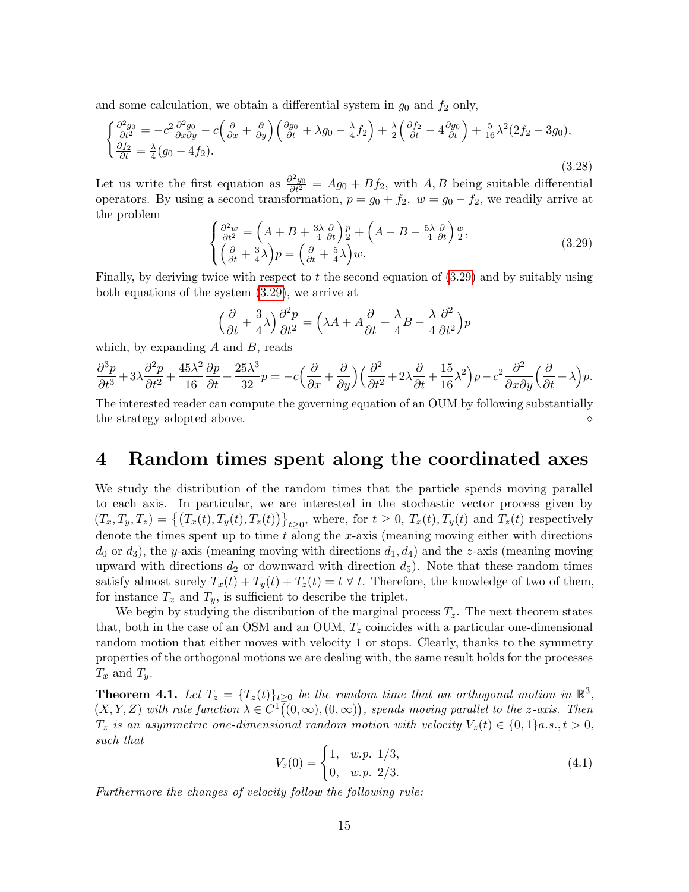and some calculation, we obtain a differential system in  $g_0$  and  $f_2$  only,

$$
\begin{cases}\n\frac{\partial^2 g_0}{\partial t^2} = -c^2 \frac{\partial^2 g_0}{\partial x \partial y} - c \left( \frac{\partial}{\partial x} + \frac{\partial}{\partial y} \right) \left( \frac{\partial g_0}{\partial t} + \lambda g_0 - \frac{\lambda}{4} f_2 \right) + \frac{\lambda}{2} \left( \frac{\partial f_2}{\partial t} - 4 \frac{\partial g_0}{\partial t} \right) + \frac{5}{16} \lambda^2 (2f_2 - 3g_0), \\
\frac{\partial f_2}{\partial t} = \frac{\lambda}{4} (g_0 - 4f_2).\n\end{cases}
$$
\n(3.28)

Let us write the first equation as  $\frac{\partial^2 g_0}{\partial t^2} = Ag_0 + Bf_2$ , with A, B being suitable differential operators. By using a second transformation,  $p = g_0 + f_2$ ,  $w = g_0 - f_2$ , we readily arrive at the problem

<span id="page-14-0"></span>
$$
\begin{cases}\n\frac{\partial^2 w}{\partial t^2} = \left(A + B + \frac{3\lambda}{4} \frac{\partial}{\partial t}\right) \frac{p}{2} + \left(A - B - \frac{5\lambda}{4} \frac{\partial}{\partial t}\right) \frac{w}{2}, \\
\left(\frac{\partial}{\partial t} + \frac{3}{4} \lambda\right) p = \left(\frac{\partial}{\partial t} + \frac{5}{4} \lambda\right) w.\n\end{cases} (3.29)
$$

Finally, by deriving twice with respect to  $t$  the second equation of  $(3.29)$  and by suitably using both equations of the system [\(3.29\)](#page-14-0), we arrive at

$$
\left(\frac{\partial}{\partial t} + \frac{3}{4}\lambda\right)\frac{\partial^2 p}{\partial t^2} = \left(\lambda A + A\frac{\partial}{\partial t} + \frac{\lambda}{4}B - \frac{\lambda}{4}\frac{\partial^2}{\partial t^2}\right)p
$$

which, by expanding  $A$  and  $B$ , reads

$$
\frac{\partial^3 p}{\partial t^3} + 3\lambda \frac{\partial^2 p}{\partial t^2} + \frac{45\lambda^2}{16} \frac{\partial p}{\partial t} + \frac{25\lambda^3}{32} p = -c \Big( \frac{\partial}{\partial x} + \frac{\partial}{\partial y} \Big) \Big( \frac{\partial^2}{\partial t^2} + 2\lambda \frac{\partial}{\partial t} + \frac{15}{16} \lambda^2 \Big) p - c^2 \frac{\partial^2}{\partial x \partial y} \Big( \frac{\partial}{\partial t} + \lambda \Big) p.
$$

The interested reader can compute the governing equation of an OUM by following substantially the strategy adopted above.

## 4 Random times spent along the coordinated axes

We study the distribution of the random times that the particle spends moving parallel to each axis. In particular, we are interested in the stochastic vector process given by  $(T_x, T_y, T_z) = \left\{ (T_x(t), T_y(t), T_z(t)) \right\}_{t \geq 0}$ , where, for  $t \geq 0$ ,  $T_x(t), T_y(t)$  and  $T_z(t)$  respectively denote the times spent up to time  $t$  along the  $x$ -axis (meaning moving either with directions  $d_0$  or  $d_3$ ), the y-axis (meaning moving with directions  $d_1, d_4$ ) and the z-axis (meaning moving upward with directions  $d_2$  or downward with direction  $d_5$ ). Note that these random times satisfy almost surely  $T_x(t) + T_y(t) + T_z(t) = t \,\forall \, t$ . Therefore, the knowledge of two of them, for instance  $T_x$  and  $T_y$ , is sufficient to describe the triplet.

We begin by studying the distribution of the marginal process  $T_z$ . The next theorem states that, both in the case of an OSM and an OUM,  $T<sub>z</sub>$  coincides with a particular one-dimensional random motion that either moves with velocity 1 or stops. Clearly, thanks to the symmetry properties of the orthogonal motions we are dealing with, the same result holds for the processes  $T_x$  and  $T_y$ .

<span id="page-14-2"></span>**Theorem 4.1.** Let  $T_z = \{T_z(t)\}_{t\geq 0}$  be the random time that an orthogonal motion in  $\mathbb{R}^3$ ,  $(X, Y, Z)$  with rate function  $\lambda \in C^1((0, \infty), (0, \infty))$ , spends moving parallel to the z-axis. Then  $T_z$  is an asymmetric one-dimensional random motion with velocity  $V_z(t) \in \{0,1\}$ a.s.,  $t > 0$ , such that

<span id="page-14-1"></span>
$$
V_z(0) = \begin{cases} 1, & w.p. \ 1/3, \\ 0, & w.p. \ 2/3. \end{cases}
$$
 (4.1)

Furthermore the changes of velocity follow the following rule: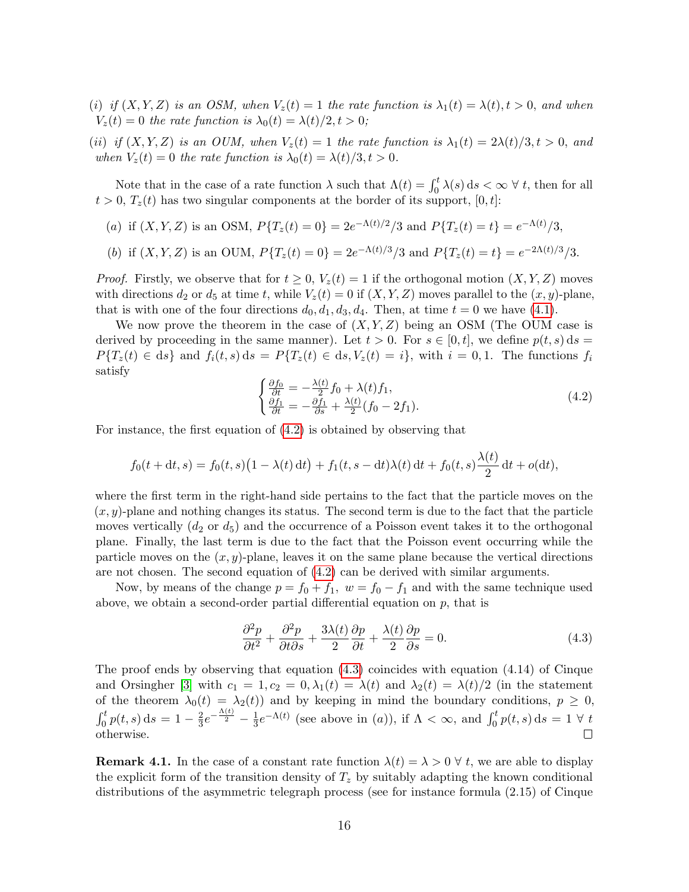- (i) if  $(X, Y, Z)$  is an OSM, when  $V_z(t) = 1$  the rate function is  $\lambda_1(t) = \lambda(t), t > 0$ , and when  $V_z(t) = 0$  the rate function is  $\lambda_0(t) = \lambda(t)/2, t > 0;$
- (ii) if  $(X, Y, Z)$  is an OUM, when  $V_z(t) = 1$  the rate function is  $\lambda_1(t) = 2\lambda(t)/3, t > 0$ , and when  $V_z(t) = 0$  the rate function is  $\lambda_0(t) = \lambda(t)/3, t > 0$ .

Note that in the case of a rate function  $\lambda$  such that  $\Lambda(t) = \int_0^t \lambda(s) ds < \infty \ \forall \ t$ , then for all  $t > 0$ ,  $T_z(t)$  has two singular components at the border of its support, [0, t]:

- (a) if  $(X, Y, Z)$  is an OSM,  $P{T_z(t) = 0} = 2e^{-\Lambda(t)/2}/3$  and  $P{T_z(t) = t} = e^{-\Lambda(t)}/3$ ,
- (b) if  $(X, Y, Z)$  is an OUM,  $P{T_z(t) = 0} = 2e^{-\Lambda(t)/3}/3$  and  $P{T_z(t) = t} = e^{-2\Lambda(t)/3}/3$ .

*Proof.* Firstly, we observe that for  $t \geq 0$ ,  $V_z(t) = 1$  if the orthogonal motion  $(X, Y, Z)$  moves with directions  $d_2$  or  $d_5$  at time t, while  $V_z(t) = 0$  if  $(X, Y, Z)$  moves parallel to the  $(x, y)$ -plane, that is with one of the four directions  $d_0, d_1, d_3, d_4$ . Then, at time  $t = 0$  we have [\(4.1\)](#page-14-1).

We now prove the theorem in the case of  $(X, Y, Z)$  being an OSM (The OUM case is derived by proceeding in the same manner). Let  $t > 0$ . For  $s \in [0, t]$ , we define  $p(t, s)$  ds  $P\{T_z(t) \in ds\}$  and  $f_i(t, s)$  ds =  $P\{T_z(t) \in ds, V_z(t) = i\}$ , with  $i = 0, 1$ . The functions  $f_i$ satisfy

<span id="page-15-0"></span>
$$
\begin{cases}\n\frac{\partial f_0}{\partial t} = -\frac{\lambda(t)}{2} f_0 + \lambda(t) f_1, \\
\frac{\partial f_1}{\partial t} = -\frac{\partial f_1}{\partial s} + \frac{\lambda(t)}{2} (f_0 - 2f_1).\n\end{cases} \tag{4.2}
$$

For instance, the first equation of [\(4.2\)](#page-15-0) is obtained by observing that

$$
f_0(t + dt, s) = f_0(t, s)(1 - \lambda(t) dt) + f_1(t, s - dt)\lambda(t) dt + f_0(t, s)\frac{\lambda(t)}{2} dt + o(dt),
$$

where the first term in the right-hand side pertains to the fact that the particle moves on the  $(x, y)$ -plane and nothing changes its status. The second term is due to the fact that the particle moves vertically  $(d_2 \text{ or } d_5)$  and the occurrence of a Poisson event takes it to the orthogonal plane. Finally, the last term is due to the fact that the Poisson event occurring while the particle moves on the  $(x, y)$ -plane, leaves it on the same plane because the vertical directions are not chosen. The second equation of [\(4.2\)](#page-15-0) can be derived with similar arguments.

Now, by means of the change  $p = f_0 + f_1$ ,  $w = f_0 - f_1$  and with the same technique used above, we obtain a second-order partial differential equation on  $p$ , that is

<span id="page-15-1"></span>
$$
\frac{\partial^2 p}{\partial t^2} + \frac{\partial^2 p}{\partial t \partial s} + \frac{3\lambda(t)}{2} \frac{\partial p}{\partial t} + \frac{\lambda(t)}{2} \frac{\partial p}{\partial s} = 0.
$$
 (4.3)

The proof ends by observing that equation [\(4.3\)](#page-15-1) coincides with equation (4.14) of Cinque and Orsingher [\[3\]](#page-24-6) with  $c_1 = 1, c_2 = 0, \lambda_1(t) = \lambda(t)$  and  $\lambda_2(t) = \lambda(t)/2$  (in the statement of the theorem  $\lambda_0(t) = \lambda_2(t)$  and by keeping in mind the boundary conditions,  $p \geq 0$ ,  $\frac{2}{3}e^{-\frac{\Lambda(t)}{2}}-\frac{1}{3}$  $\int_0^t p(t,s) ds = 1 - \frac{2}{3}$  $\frac{1}{3}e^{-\Lambda(t)}$  (see above in (a)), if  $\Lambda < \infty$ , and  $\int_0^t p(t, s) ds = 1 \ \forall \ t$ otherwise.  $\Box$ 

**Remark 4.1.** In the case of a constant rate function  $\lambda(t) = \lambda > 0 \,\forall \, t$ , we are able to display the explicit form of the transition density of  $T<sub>z</sub>$  by suitably adapting the known conditional distributions of the asymmetric telegraph process (see for instance formula (2.15) of Cinque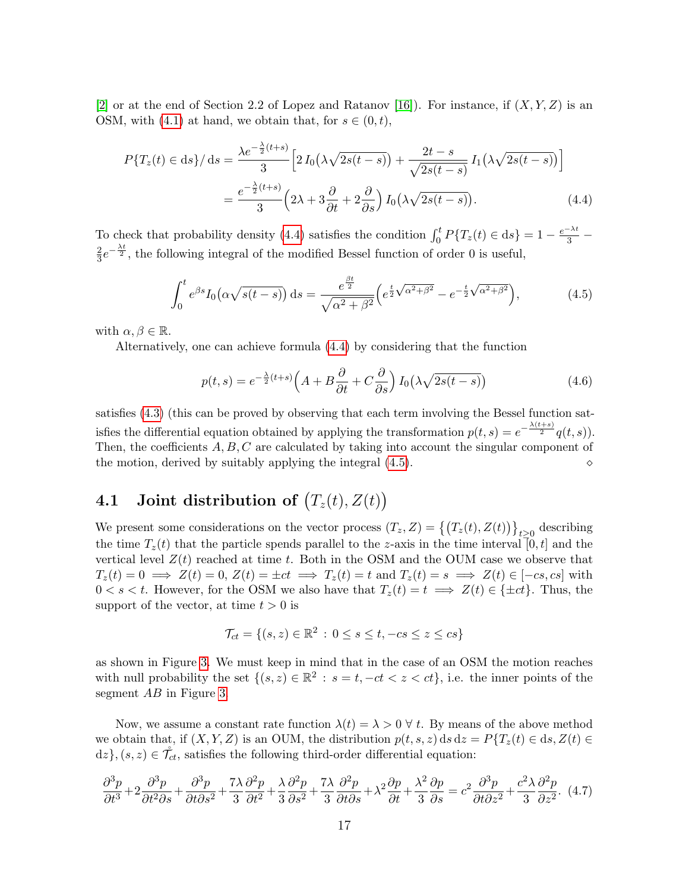[\[2\]](#page-24-7) or at the end of Section 2.2 of Lopez and Ratanov [\[16\]](#page-25-19)). For instance, if  $(X, Y, Z)$  is an OSM, with [\(4.1\)](#page-14-1) at hand, we obtain that, for  $s \in (0, t)$ ,

$$
P\{T_z(t) \in ds\} / ds = \frac{\lambda e^{-\frac{\lambda}{2}(t+s)}}{3} \left[ 2 I_0(\lambda \sqrt{2s(t-s)}) + \frac{2t-s}{\sqrt{2s(t-s)}} I_1(\lambda \sqrt{2s(t-s)}) \right]
$$

$$
= \frac{e^{-\frac{\lambda}{2}(t+s)}}{3} \left( 2\lambda + 3 \frac{\partial}{\partial t} + 2 \frac{\partial}{\partial s} \right) I_0(\lambda \sqrt{2s(t-s)}).
$$
(4.4)

To check that probability density [\(4.4\)](#page-16-0) satisfies the condition  $\int_0^t P\{T_z(t) \in ds\} = 1 - \frac{e^{-\lambda t}}{3}$ 2  $\frac{2}{3}e^{-\frac{\lambda t}{2}}$ , the following integral of the modified Bessel function of order 0 is useful,

<span id="page-16-1"></span><span id="page-16-0"></span>
$$
\int_0^t e^{\beta s} I_0(\alpha \sqrt{s(t-s)}) ds = \frac{e^{\frac{\beta t}{2}}}{\sqrt{\alpha^2 + \beta^2}} \left( e^{\frac{t}{2}\sqrt{\alpha^2 + \beta^2}} - e^{-\frac{t}{2}\sqrt{\alpha^2 + \beta^2}} \right),
$$
(4.5)

with  $\alpha, \beta \in \mathbb{R}$ .

Alternatively, one can achieve formula [\(4.4\)](#page-16-0) by considering that the function

$$
p(t,s) = e^{-\frac{\lambda}{2}(t+s)} \left( A + B \frac{\partial}{\partial t} + C \frac{\partial}{\partial s} \right) I_0 \left( \lambda \sqrt{2s(t-s)} \right) \tag{4.6}
$$

satisfies [\(4.3\)](#page-15-1) (this can be proved by observing that each term involving the Bessel function satisfies the differential equation obtained by applying the transformation  $p(t,s) = e^{-\frac{\lambda(t+s)}{2}}q(t,s)$ . Then, the coefficients  $A, B, C$  are calculated by taking into account the singular component of the motion, derived by suitably applying the integral [\(4.5\)](#page-16-1).

## **4.1** Joint distribution of  $(T_z(t), Z(t))$

We present some considerations on the vector process  $(T_z, Z) = \{(T_z(t), Z(t))\}_{t\geq 0}$  describing the time  $T_z(t)$  that the particle spends parallel to the z-axis in the time interval [0, t] and the vertical level  $Z(t)$  reached at time t. Both in the OSM and the OUM case we observe that  $T_z(t) = 0 \implies Z(t) = 0, Z(t) = \pm ct \implies T_z(t) = t \text{ and } T_z(t) = s \implies Z(t) \in [-cs, cs] \text{ with }$  $0 < s < t$ . However, for the OSM we also have that  $T_z(t) = t \implies Z(t) \in \{\pm ct\}$ . Thus, the support of the vector, at time  $t > 0$  is

$$
\mathcal{T}_{ct} = \{ (s, z) \in \mathbb{R}^2 \, : \, 0 \le s \le t, -cs \le z \le cs \}
$$

as shown in Figure [3.](#page-17-0) We must keep in mind that in the case of an OSM the motion reaches with null probability the set  $\{(s, z) \in \mathbb{R}^2 : s = t, -ct < z < ct\}$ , i.e. the inner points of the segment  $AB$  in Figure [3.](#page-17-0)

Now, we assume a constant rate function  $\lambda(t) = \lambda > 0 \ \forall t$ . By means of the above method we obtain that, if  $(X, Y, Z)$  is an OUM, the distribution  $p(t, s, z)$  ds  $dz = P\{T_z(t) \in ds, Z(t) \in$  $dz$ ,  $(s, z) \in \mathcal{T}_{ct}$ , satisfies the following third-order differential equation:

<span id="page-16-2"></span>
$$
\frac{\partial^3 p}{\partial t^3} + 2 \frac{\partial^3 p}{\partial t^2 \partial s} + \frac{\partial^3 p}{\partial t \partial s^2} + \frac{7\lambda}{3} \frac{\partial^2 p}{\partial t^2} + \frac{\lambda}{3} \frac{\partial^2 p}{\partial s^2} + \frac{7\lambda}{3} \frac{\partial^2 p}{\partial t \partial s} + \lambda^2 \frac{\partial p}{\partial t} + \frac{\lambda^2}{3} \frac{\partial p}{\partial s} = c^2 \frac{\partial^3 p}{\partial t \partial z^2} + \frac{c^2 \lambda}{3} \frac{\partial^2 p}{\partial z^2}.
$$
 (4.7)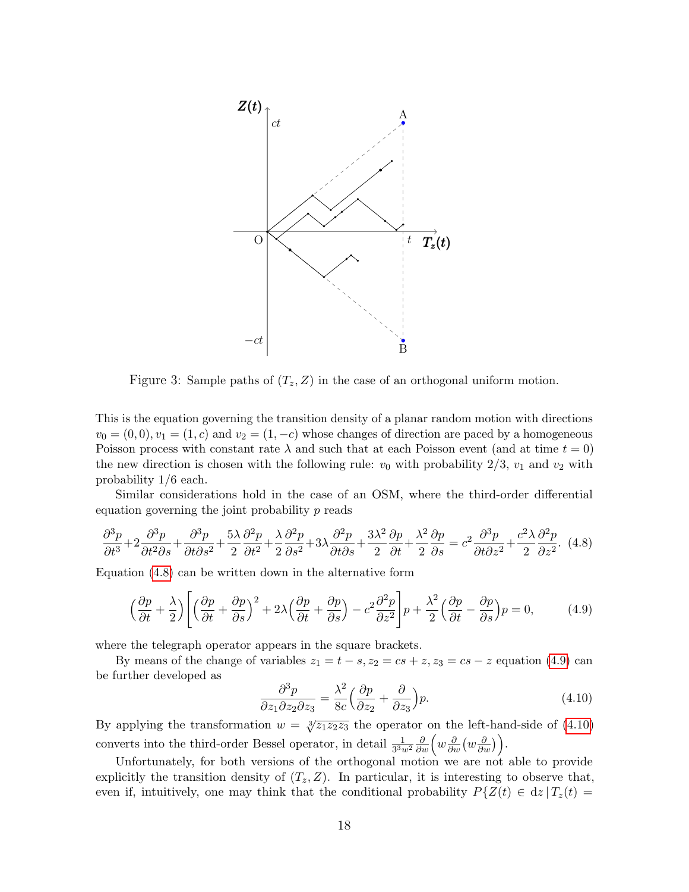

<span id="page-17-0"></span>Figure 3: Sample paths of  $(T_z, Z)$  in the case of an orthogonal uniform motion.

This is the equation governing the transition density of a planar random motion with directions  $v_0 = (0, 0), v_1 = (1, c)$  and  $v_2 = (1, -c)$  whose changes of direction are paced by a homogeneous Poisson process with constant rate  $\lambda$  and such that at each Poisson event (and at time  $t = 0$ ) the new direction is chosen with the following rule:  $v_0$  with probability  $2/3$ ,  $v_1$  and  $v_2$  with probability 1/6 each.

Similar considerations hold in the case of an OSM, where the third-order differential equation governing the joint probability p reads

<span id="page-17-1"></span>
$$
\frac{\partial^3 p}{\partial t^3} + 2 \frac{\partial^3 p}{\partial t^2 \partial s} + \frac{\partial^3 p}{\partial t \partial s^2} + \frac{5\lambda}{2} \frac{\partial^2 p}{\partial t^2} + \frac{\lambda}{2} \frac{\partial^2 p}{\partial s^2} + 3\lambda \frac{\partial^2 p}{\partial t \partial s} + \frac{3\lambda^2}{2} \frac{\partial p}{\partial t} + \frac{\lambda^2}{2} \frac{\partial p}{\partial s} = c^2 \frac{\partial^3 p}{\partial t \partial z^2} + \frac{c^2 \lambda}{2} \frac{\partial^2 p}{\partial z^2}.
$$
 (4.8)

Equation [\(4.8\)](#page-17-1) can be written down in the alternative form

<span id="page-17-2"></span>
$$
\left(\frac{\partial p}{\partial t} + \frac{\lambda}{2}\right) \left[ \left(\frac{\partial p}{\partial t} + \frac{\partial p}{\partial s}\right)^2 + 2\lambda \left(\frac{\partial p}{\partial t} + \frac{\partial p}{\partial s}\right) - c^2 \frac{\partial^2 p}{\partial s^2} \right] p + \frac{\lambda^2}{2} \left(\frac{\partial p}{\partial t} - \frac{\partial p}{\partial s}\right) p = 0, \tag{4.9}
$$

where the telegraph operator appears in the square brackets.

By means of the change of variables  $z_1 = t - s$ ,  $z_2 = cs + z$ ,  $z_3 = cs - z$  equation [\(4.9\)](#page-17-2) can be further developed as

<span id="page-17-3"></span>
$$
\frac{\partial^3 p}{\partial z_1 \partial z_2 \partial z_3} = \frac{\lambda^2}{8c} \left( \frac{\partial p}{\partial z_2} + \frac{\partial}{\partial z_3} \right) p. \tag{4.10}
$$

By applying the transformation  $w = \sqrt[3]{z_1z_2z_3}$  the operator on the left-hand-side of [\(4.10\)](#page-17-3) converts into the third-order Bessel operator, in detail  $\frac{1}{3^3 w^2} \frac{\partial}{\partial w} \left( w \frac{\partial}{\partial w} \left( w \frac{\partial}{\partial w} \right) \right)$ .

Unfortunately, for both versions of the orthogonal motion we are not able to provide explicitly the transition density of  $(T_z, Z)$ . In particular, it is interesting to observe that, even if, intuitively, one may think that the conditional probability  $P\{Z(t) \in dz | T_z(t) =$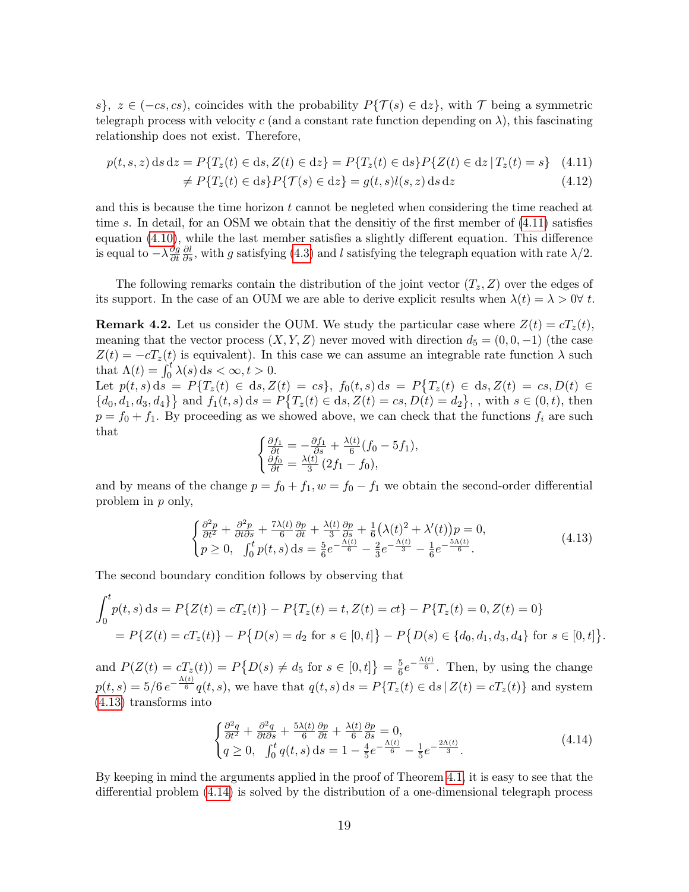s},  $z \in (-cs, cs)$ , coincides with the probability  $P\{\mathcal{T}(s) \in dz\}$ , with  $\mathcal T$  being a symmetric telegraph process with velocity c (and a constant rate function depending on  $\lambda$ ), this fascinating relationship does not exist. Therefore,

$$
p(t, s, z) ds dz = P\{T_z(t) \in ds, Z(t) \in dz\} = P\{T_z(t) \in ds\} P\{Z(t) \in dz | T_z(t) = s\} \tag{4.11}
$$

<span id="page-18-0"></span>
$$
\neq P\{T_z(t) \in ds\} P\{\mathcal{T}(s) \in dz\} = g(t, s)l(s, z) ds dz \tag{4.12}
$$

and this is because the time horizon t cannot be negleted when considering the time reached at time s. In detail, for an OSM we obtain that the densitiy of the first member of  $(4.11)$  satisfies equation [\(4.10\)](#page-17-3), while the last member satisfies a slightly different equation. This difference is equal to  $-\lambda \frac{\partial g}{\partial t}$ ∂t  $\frac{\partial l}{\partial s}$ , with g satisfying [\(4.3\)](#page-15-1) and l satisfying the telegraph equation with rate  $\lambda/2$ .

The following remarks contain the distribution of the joint vector  $(T_z, Z)$  over the edges of its support. In the case of an OUM we are able to derive explicit results when  $\lambda(t) = \lambda > 0 \forall t$ .

**Remark 4.2.** Let us consider the OUM. We study the particular case where  $Z(t) = cT_z(t)$ , meaning that the vector process  $(X, Y, Z)$  never moved with direction  $d_5 = (0, 0, -1)$  (the case  $Z(t) = -cT_z(t)$  is equivalent). In this case we can assume an integrable rate function  $\lambda$  such that  $\Lambda(t) = \int_0^t \lambda(s) ds < \infty, t > 0.$ 

Let  $p(t, s) ds = P\{T_z(t) \in ds, Z(t) = cs\}, f_0(t, s) ds = P\{T_z(t) \in ds, Z(t) = cs, D(t) \in$  $\{d_0, d_1, d_3, d_4\}$  and  $f_1(t, s)$  ds =  $P\{T_z(t) \in ds, Z(t) = cs, D(t) = d_2\}$ , with  $s \in (0, t)$ , then  $p = f_0 + f_1$ . By proceeding as we showed above, we can check that the functions  $f_i$  are such that

$$
\begin{cases} \frac{\partial f_1}{\partial t} = -\frac{\partial f_1}{\partial s} + \frac{\lambda(t)}{6} (f_0 - 5f_1), \\ \frac{\partial f_0}{\partial t} = \frac{\lambda(t)}{3} (2f_1 - f_0), \end{cases}
$$

and by means of the change  $p = f_0 + f_1$ ,  $w = f_0 - f_1$  we obtain the second-order differential problem in p only,

<span id="page-18-1"></span>
$$
\begin{cases}\n\frac{\partial^2 p}{\partial t^2} + \frac{\partial^2 p}{\partial t \partial s} + \frac{7\lambda(t)}{6} \frac{\partial p}{\partial t} + \frac{\lambda(t)}{3} \frac{\partial p}{\partial s} + \frac{1}{6} \left( \lambda(t)^2 + \lambda'(t) \right) p = 0, \\
p \ge 0, \quad \int_0^t p(t, s) \, ds = \frac{5}{6} e^{-\frac{\Lambda(t)}{6}} - \frac{2}{3} e^{-\frac{\Lambda(t)}{3}} - \frac{1}{6} e^{-\frac{5\Lambda(t)}{6}}.\n\end{cases} (4.13)
$$

The second boundary condition follows by observing that

$$
\int_0^t p(t,s) \, ds = P\{Z(t) = cT_z(t)\} - P\{T_z(t) = t, Z(t) = ct\} - P\{T_z(t) = 0, Z(t) = 0\}
$$
\n
$$
= P\{Z(t) = cT_z(t)\} - P\{D(s) = d_2 \text{ for } s \in [0,t]\} - P\{D(s) \in \{d_0, d_1, d_3, d_4\} \text{ for } s \in [0,t]\}
$$

and  $P(Z(t) = cT_z(t)) = P\{D(s) \neq d_5 \text{ for } s \in [0, t]\} = \frac{5}{6}$  $\frac{5}{6}e^{-\frac{\Lambda(t)}{6}}$ . Then, by using the change  $p(t,s) = 5/6 e^{-\frac{\Lambda(t)}{6}} q(t,s)$ , we have that  $q(t,s) ds = P{T_z(t) \in ds | Z(t) = cT_z(t)}$  and system [\(4.13\)](#page-18-1) transforms into

<span id="page-18-2"></span>
$$
\begin{cases}\n\frac{\partial^2 q}{\partial t^2} + \frac{\partial^2 q}{\partial t \partial s} + \frac{5\lambda(t)}{6} \frac{\partial p}{\partial t} + \frac{\lambda(t)}{6} \frac{\partial p}{\partial s} = 0, \\
q \ge 0, \quad \int_0^t q(t, s) \, ds = 1 - \frac{4}{5} e^{-\frac{\Lambda(t)}{6}} - \frac{1}{5} e^{-\frac{2\Lambda(t)}{3}}.\n\end{cases} \tag{4.14}
$$

.

By keeping in mind the arguments applied in the proof of Theorem [4.1,](#page-14-2) it is easy to see that the differential problem [\(4.14\)](#page-18-2) is solved by the distribution of a one-dimensional telegraph process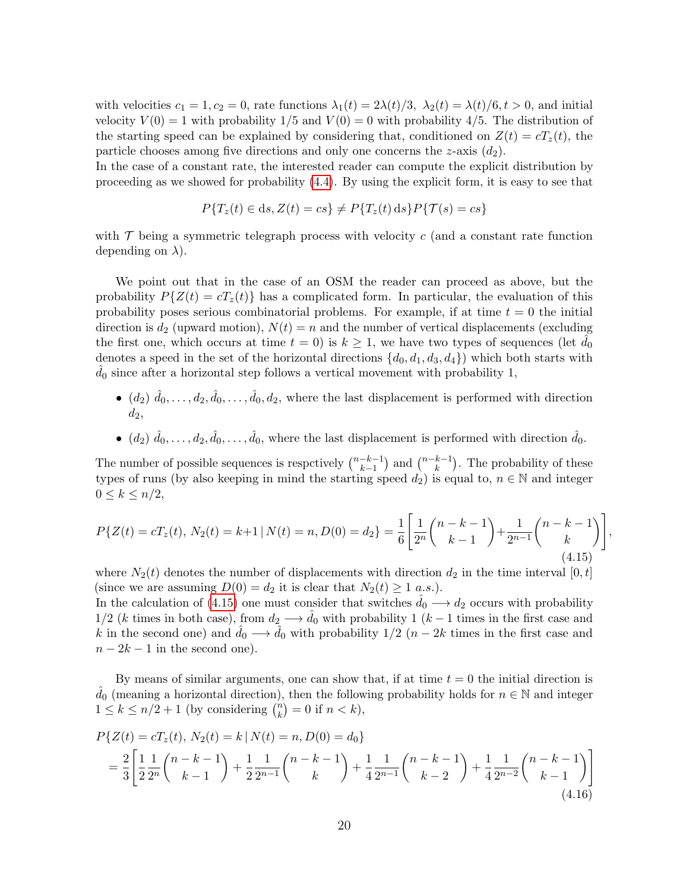with velocities  $c_1 = 1, c_2 = 0$ , rate functions  $\lambda_1(t) = 2\lambda(t)/3$ ,  $\lambda_2(t) = \lambda(t)/6$ ,  $t > 0$ , and initial velocity  $V(0) = 1$  with probability  $1/5$  and  $V(0) = 0$  with probability 4/5. The distribution of the starting speed can be explained by considering that, conditioned on  $Z(t) = cT<sub>z</sub>(t)$ , the particle chooses among five directions and only one concerns the  $z$ -axis  $(d_2)$ .

In the case of a constant rate, the interested reader can compute the explicit distribution by proceeding as we showed for probability [\(4.4\)](#page-16-0). By using the explicit form, it is easy to see that

$$
P{Tz(t) \in ds, Z(t) = cs} \neq P{Tz(t) ds} P{T(s) = cs}
$$

with  $\mathcal T$  being a symmetric telegraph process with velocity c (and a constant rate function depending on  $\lambda$ ).

We point out that in the case of an OSM the reader can proceed as above, but the probability  $P{Z(t) = cT<sub>z</sub>(t)}$  has a complicated form. In particular, the evaluation of this probability poses serious combinatorial problems. For example, if at time  $t = 0$  the initial direction is  $d_2$  (upward motion),  $N(t) = n$  and the number of vertical displacements (excluding the first one, which occurs at time  $t = 0$ ) is  $k \ge 1$ , we have two types of sequences (let  $\tilde{d}_0$ ) denotes a speed in the set of the horizontal directions  $\{d_0, d_1, d_3, d_4\}$  which both starts with  $d_0$  since after a horizontal step follows a vertical movement with probability 1,

- $(d_2)$   $\hat{d}_0, \ldots, d_2, \hat{d}_0, \ldots, \hat{d}_0, d_2$ , where the last displacement is performed with direction  $d_2,$
- $(d_2)$   $\hat{d}_0, \ldots, d_2, \hat{d}_0, \ldots, \hat{d}_0$ , where the last displacement is performed with direction  $\hat{d}_0$ .

The number of possible sequences is respectively  $\binom{n-k-1}{k-1}$  $\binom{-k-1}{k-1}$  and  $\binom{n-k-1}{k}$  $\binom{k-1}{k}$ . The probability of these types of runs (by also keeping in mind the starting speed  $d_2$ ) is equal to,  $n \in \mathbb{N}$  and integer  $0 \leq k \leq n/2$ ,

<span id="page-19-0"></span>
$$
P\{Z(t) = cT_z(t), N_2(t) = k+1 | N(t) = n, D(0) = d_2\} = \frac{1}{6} \left[ \frac{1}{2^n} {n-k-1 \choose k-1} + \frac{1}{2^{n-1}} {n-k-1 \choose k} \right],
$$
\n(4.15)

where  $N_2(t)$  denotes the number of displacements with direction  $d_2$  in the time interval  $[0, t]$ (since we are assuming  $D(0) = d_2$  it is clear that  $N_2(t) \geq 1$  a.s.).

In the calculation of [\(4.15\)](#page-19-0) one must consider that switches  $d_0 \rightarrow d_2$  occurs with probability  $1/2$  (k times in both case), from  $d_2 \longrightarrow \hat{d}_0$  with probability 1 (k – 1 times in the first case and k in the second one) and  $\hat{d}_0 \longrightarrow \hat{d}_0$  with probability  $1/2$   $(n-2k)$  times in the first case and  $n-2k-1$  in the second one).

By means of similar arguments, one can show that, if at time  $t = 0$  the initial direction is  $d_0$  (meaning a horizontal direction), then the following probability holds for  $n \in \mathbb{N}$  and integer  $1 \leq k \leq n/2+1$  (by considering  $\binom{n}{k}$  ${k \choose k} = 0$  if  $n < k$ ),

<span id="page-19-1"></span>
$$
P\{Z(t) = cT_z(t), N_2(t) = k \mid N(t) = n, D(0) = d_0\}
$$
  
=  $\frac{2}{3} \left[ \frac{1}{2} \frac{1}{2^n} {n-k-1 \choose k-1} + \frac{1}{2} \frac{1}{2^{n-1}} {n-k-1 \choose k} + \frac{1}{4} \frac{1}{2^{n-1}} {n-k-1 \choose k-2} + \frac{1}{4} \frac{1}{2^{n-2}} {n-k-1 \choose k-1} \right]$   
(4.16)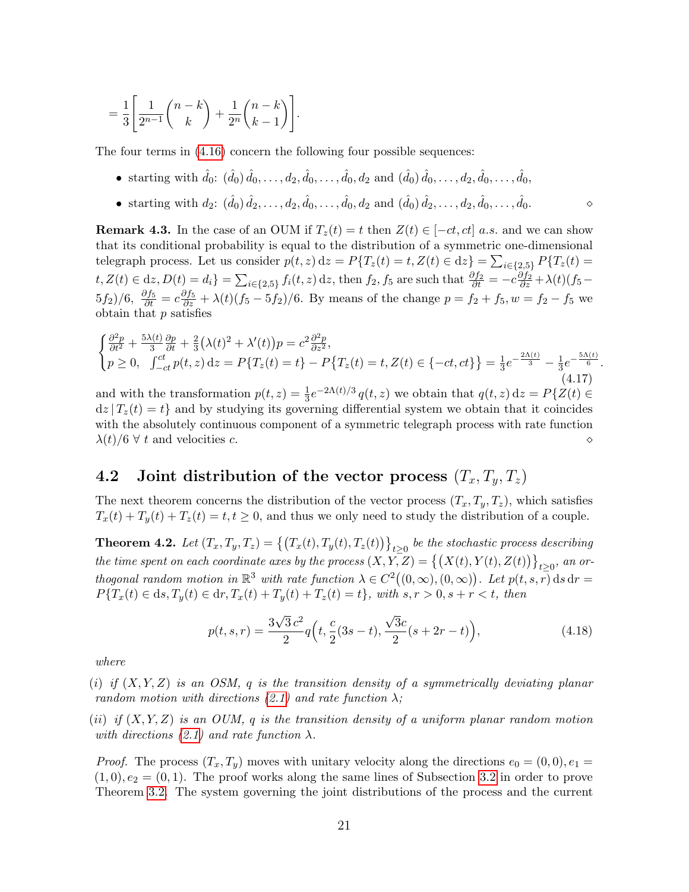$$
= \frac{1}{3} \left[ \frac{1}{2^{n-1}} {n-k \choose k} + \frac{1}{2^n} {n-k \choose k-1} \right].
$$

The four terms in [\(4.16\)](#page-19-1) concern the following four possible sequences:

- starting with  $\hat{d}_0$ :  $(\hat{d}_0) \hat{d}_0, \dots, d_2, \hat{d}_0, \dots, \hat{d}_0, d_2$  and  $(\hat{d}_0) \hat{d}_0, \dots, d_2, \hat{d}_0, \dots, \hat{d}_0$
- starting with  $d_2$ :  $(\hat{d}_0) \hat{d}_2, \dots, d_2, \hat{d}_0, \dots, \hat{d}_0, d_2$  and  $(\hat{d}_0) \hat{d}_2, \dots, d_2, \hat{d}_0, \dots, \hat{d}_0$ .

**Remark 4.3.** In the case of an OUM if  $T_z(t) = t$  then  $Z(t) \in [-ct, ct]$  a.s. and we can show that its conditional probability is equal to the distribution of a symmetric one-dimensional telegraph process. Let us consider  $p(t, z) dz = P\{T_z(t) = t, Z(t) \in dz\} = \sum_{i \in \{2, 5\}} P\{T_z(t) = t\}$  $t, Z(t) \in dz, D(t) = d_i$  =  $\sum_{i \in \{2,5\}} f_i(t, z) dz$ , then  $f_2, f_5$  are such that  $\frac{\partial f_2}{\partial t} = -c \frac{\partial f_2}{\partial z} + \lambda(t)(f_5 (5f_2)/6, \frac{\partial f_5}{\partial t} = c \frac{\partial f_5}{\partial z} + \lambda(t)(f_5 - 5f_2)/6.$  By means of the change  $p = f_2 + f_5, w = f_2 - f_5$  we obtain that  $p$  satisfies

$$
\begin{cases} \frac{\partial^2 p}{\partial t^2} + \frac{5\lambda(t)}{3} \frac{\partial p}{\partial t} + \frac{2}{3} (\lambda(t)^2 + \lambda'(t)) p = c^2 \frac{\partial^2 p}{\partial z^2}, \\ p \ge 0, \quad \int_{-ct}^{ct} p(t, z) dz = P\{T_z(t) = t\} - P\{T_z(t) = t, Z(t) \in \{-ct, ct\}\} = \frac{1}{3} e^{-\frac{2\Lambda(t)}{3}} - \frac{1}{3} e^{-\frac{5\Lambda(t)}{6}}. \end{cases}
$$
\n(4.17)

and with the transformation  $p(t, z) = \frac{1}{3}e^{-2\Lambda(t)/3} q(t, z)$  we obtain that  $q(t, z) dz = P\{Z(t) \in$  $dz | T_z(t) = t$  and by studying its governing differential system we obtain that it coincides with the absolutely continuous component of a symmetric telegraph process with rate function  $\lambda(t)/6 \forall t$  and velocities c.

#### 4.2 Joint distribution of the vector process  $(T_x, T_y, T_z)$

The next theorem concerns the distribution of the vector process  $(T_x, T_y, T_z)$ , which satisfies  $T_x(t) + T_y(t) + T_z(t) = t, t \ge 0$ , and thus we only need to study the distribution of a couple.

<span id="page-20-1"></span>**Theorem 4.2.** Let  $(T_x, T_y, T_z) = \{(T_x(t), T_y(t), T_z(t))\}_{t \geq 0}$  be the stochastic process describing the time spent on each coordinate axes by the process  $(X, Y, Z) = \big\{ (X(t), Y(t), Z(t)) \big\}_{t \geq 0}$ , an orthogonal random motion in  $\mathbb{R}^3$  with rate function  $\lambda \in C^2((0,\infty), (0,\infty))$ . Let  $p(t,s,\overline{r})$  ds dr =  $P\{T_x(t) \in ds, T_y(t) \in dr, T_x(t) + T_y(t) + T_z(t) = t\}$ , with  $s, r > 0, s + r < t$ , then

<span id="page-20-0"></span>
$$
p(t,s,r) = \frac{3\sqrt{3}c^2}{2}q\left(t, \frac{c}{2}(3s-t), \frac{\sqrt{3}c}{2}(s+2r-t)\right),\tag{4.18}
$$

where

(i) if  $(X, Y, Z)$  is an OSM, q is the transition density of a symmetrically deviating planar random motion with directions [\(2.1\)](#page-4-0) and rate function  $\lambda$ ;

(ii) if  $(X, Y, Z)$  is an OUM, q is the transition density of a uniform planar random motion with directions [\(2.1\)](#page-4-0) and rate function  $\lambda$ .

*Proof.* The process  $(T_x, T_y)$  moves with unitary velocity along the directions  $e_0 = (0, 0), e_1 =$  $(1,0), e_2 = (0,1)$ . The proof works along the same lines of Subsection [3.2](#page-11-1) in order to prove Theorem [3.2.](#page-13-1) The system governing the joint distributions of the process and the current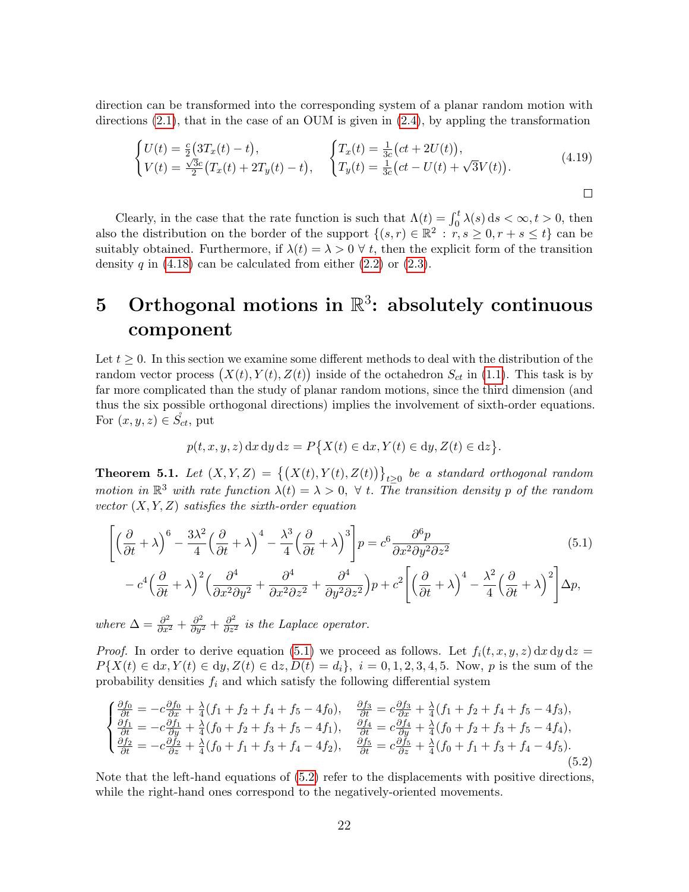direction can be transformed into the corresponding system of a planar random motion with directions  $(2.1)$ , that in the case of an OUM is given in  $(2.4)$ , by appling the transformation

$$
\begin{cases}\nU(t) = \frac{c}{2}(3T_x(t) - t), & \left\{\nT_x(t) = \frac{1}{3c}(ct + 2U(t)),\n\right.\n\left.\n\left\{\nT_y(t) = \frac{1}{3c}(ct - U(t) + \sqrt{3}V(t)).\n\right.\n\end{cases} \tag{4.19}
$$

Clearly, in the case that the rate function is such that  $\Lambda(t) = \int_0^t \lambda(s) ds < \infty, t > 0$ , then also the distribution on the border of the support  $\{(s,r) \in \mathbb{R}^2 : r, s \geq 0, r+s \leq t\}$  can be suitably obtained. Furthermore, if  $\lambda(t) = \lambda > 0 \ \forall t$ , then the explicit form of the transition density q in  $(4.18)$  can be calculated from either  $(2.2)$  or  $(2.3)$ .

## 5 Orthogonal motions in  $\mathbb{R}^3$ : absolutely continuous component

Let  $t \geq 0$ . In this section we examine some different methods to deal with the distribution of the random vector process  $(X(t), Y(t), Z(t))$  inside of the octahedron  $S_{ct}$  in [\(1.1\)](#page-2-1). This task is by far more complicated than the study of planar random motions, since the third dimension (and thus the six possible orthogonal directions) implies the involvement of sixth-order equations. For  $(x, y, z) \in S_{ct}$ , put

<span id="page-21-0"></span>
$$
p(t, x, y, z) dx dy dz = P\big\{X(t) \in dx, Y(t) \in dy, Z(t) \in dz\big\}.
$$

**Theorem 5.1.** Let  $(X, Y, Z) = \{(X(t), Y(t), Z(t))\}_{t \geq 0}$  be a standard orthogonal random motion in  $\mathbb{R}^3$  with rate function  $\lambda(t) = \lambda > 0$ ,  $\forall$  t. The transition density p of the random vector  $(X, Y, Z)$  satisfies the sixth-order equation

$$
\left[ \left( \frac{\partial}{\partial t} + \lambda \right)^6 - \frac{3\lambda^2}{4} \left( \frac{\partial}{\partial t} + \lambda \right)^4 - \frac{\lambda^3}{4} \left( \frac{\partial}{\partial t} + \lambda \right)^3 \right] p = c^6 \frac{\partial^6 p}{\partial x^2 \partial y^2 \partial z^2} - c^4 \left( \frac{\partial}{\partial t} + \lambda \right)^2 \left( \frac{\partial^4}{\partial x^2 \partial y^2} + \frac{\partial^4}{\partial x^2 \partial z^2} + \frac{\partial^4}{\partial y^2 \partial z^2} \right) p + c^2 \left[ \left( \frac{\partial}{\partial t} + \lambda \right)^4 - \frac{\lambda^2}{4} \left( \frac{\partial}{\partial t} + \lambda \right)^2 \right] \Delta p,
$$
(5.1)

where  $\Delta = \frac{\partial^2}{\partial x^2} + \frac{\partial^2}{\partial y^2} + \frac{\partial^2}{\partial z^2}$  is the Laplace operator.

*Proof.* In order to derive equation [\(5.1\)](#page-21-0) we proceed as follows. Let  $f_i(t, x, y, z) dx dy dz =$  $P\{X(t) \in dx, Y(t) \in dy, Z(t) \in dz, D(t) = d_i\}, i = 0, 1, 2, 3, 4, 5$ . Now, p is the sum of the probability densities  $f_i$  and which satisfy the following differential system

<span id="page-21-1"></span>
$$
\begin{cases}\n\frac{\partial f_0}{\partial t} = -c \frac{\partial f_0}{\partial x} + \frac{\lambda}{4} (f_1 + f_2 + f_4 + f_5 - 4f_0), & \frac{\partial f_3}{\partial t} = c \frac{\partial f_3}{\partial x} + \frac{\lambda}{4} (f_1 + f_2 + f_4 + f_5 - 4f_3), \\
\frac{\partial f_1}{\partial t} = -c \frac{\partial f_1}{\partial y} + \frac{\lambda}{4} (f_0 + f_2 + f_3 + f_5 - 4f_1), & \frac{\partial f_4}{\partial t} = c \frac{\partial f_4}{\partial y} + \frac{\lambda}{4} (f_0 + f_2 + f_3 + f_5 - 4f_4), \\
\frac{\partial f_2}{\partial t} = -c \frac{\partial f_2}{\partial z} + \frac{\lambda}{4} (f_0 + f_1 + f_3 + f_4 - 4f_2), & \frac{\partial f_5}{\partial t} = c \frac{\partial f_5}{\partial z} + \frac{\lambda}{4} (f_0 + f_1 + f_3 + f_4 - 4f_5).\n\end{cases}
$$
\n(5.2)

Note that the left-hand equations of [\(5.2\)](#page-21-1) refer to the displacements with positive directions, while the right-hand ones correspond to the negatively-oriented movements.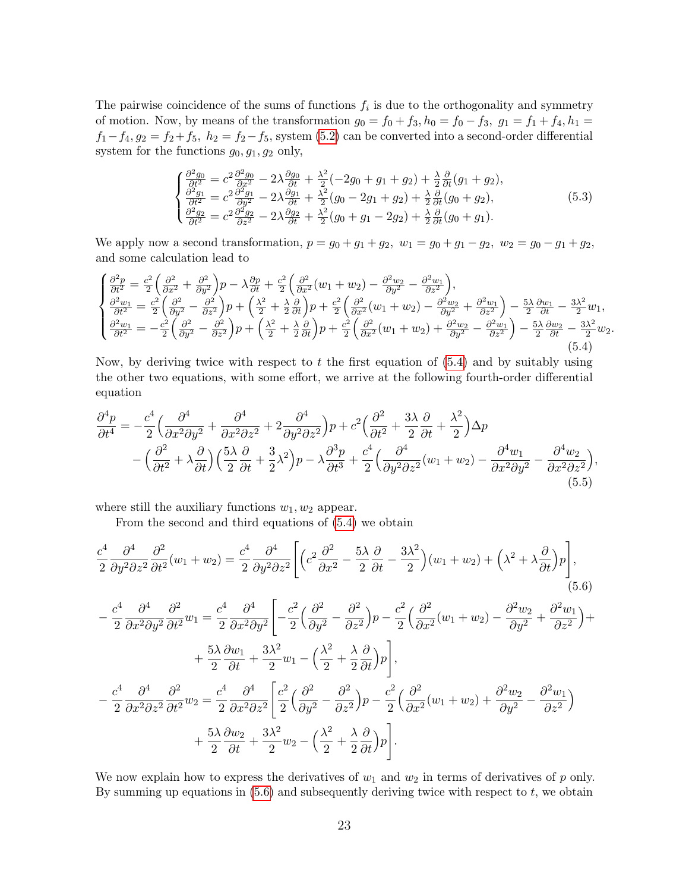The pairwise coincidence of the sums of functions  $f_i$  is due to the orthogonality and symmetry of motion. Now, by means of the transformation  $g_0 = f_0 + f_3$ ,  $h_0 = f_0 - f_3$ ,  $g_1 = f_1 + f_4$ ,  $h_1 =$  $f_1-f_4, g_2 = f_2+f_5, h_2 = f_2-f_5$ , system [\(5.2\)](#page-21-1) can be converted into a second-order differential system for the functions  $g_0, g_1, g_2$  only,

$$
\begin{cases}\n\frac{\partial^2 g_0}{\partial t^2} = c^2 \frac{\partial^2 g_0}{\partial x^2} - 2\lambda \frac{\partial g_0}{\partial t} + \frac{\lambda^2}{2} (-2g_0 + g_1 + g_2) + \frac{\lambda}{2} \frac{\partial}{\partial t} (g_1 + g_2),\n\frac{\partial^2 g_1}{\partial t^2} = c^2 \frac{\partial^2 g_1}{\partial y^2} - 2\lambda \frac{\partial g_1}{\partial t} + \frac{\lambda^2}{2} (g_0 - 2g_1 + g_2) + \frac{\lambda}{2} \frac{\partial}{\partial t} (g_0 + g_2),\n\frac{\partial^2 g_2}{\partial t^2} = c^2 \frac{\partial^2 g_2}{\partial z^2} - 2\lambda \frac{\partial g_2}{\partial t} + \frac{\lambda^2}{2} (g_0 + g_1 - 2g_2) + \frac{\lambda}{2} \frac{\partial}{\partial t} (g_0 + g_1).\n\end{cases} (5.3)
$$

We apply now a second transformation,  $p = g_0 + g_1 + g_2$ ,  $w_1 = g_0 + g_1 - g_2$ ,  $w_2 = g_0 - g_1 + g_2$ , and some calculation lead to

<span id="page-22-0"></span>
$$
\begin{cases}\n\frac{\partial^2 p}{\partial t^2} = \frac{c^2}{2} \left( \frac{\partial^2}{\partial x^2} + \frac{\partial^2}{\partial y^2} \right) p - \lambda \frac{\partial p}{\partial t} + \frac{c^2}{2} \left( \frac{\partial^2}{\partial x^2} (w_1 + w_2) - \frac{\partial^2 w_2}{\partial y^2} - \frac{\partial^2 w_1}{\partial z^2} \right), \\
\frac{\partial^2 w_1}{\partial t^2} = \frac{c^2}{2} \left( \frac{\partial^2}{\partial y^2} - \frac{\partial^2}{\partial z^2} \right) p + \left( \frac{\lambda^2}{2} + \frac{\lambda}{2} \frac{\partial}{\partial t} \right) p + \frac{c^2}{2} \left( \frac{\partial^2}{\partial x^2} (w_1 + w_2) - \frac{\partial^2 w_2}{\partial y^2} + \frac{\partial^2 w_1}{\partial z^2} \right) - \frac{5\lambda}{2} \frac{\partial w_1}{\partial t} - \frac{3\lambda^2}{2} w_1, \\
\frac{\partial^2 w_1}{\partial t^2} = -\frac{c^2}{2} \left( \frac{\partial^2}{\partial y^2} - \frac{\partial^2}{\partial z^2} \right) p + \left( \frac{\lambda^2}{2} + \frac{\lambda}{2} \frac{\partial}{\partial t} \right) p + \frac{c^2}{2} \left( \frac{\partial^2}{\partial x^2} (w_1 + w_2) + \frac{\partial^2 w_2}{\partial y^2} - \frac{\partial^2 w_1}{\partial z^2} \right) - \frac{5\lambda}{2} \frac{\partial w_2}{\partial t} - \frac{3\lambda^2}{2} w_2.\n\end{cases}
$$
\n(5.4)

Now, by deriving twice with respect to  $t$  the first equation of  $(5.4)$  and by suitably using the other two equations, with some effort, we arrive at the following fourth-order differential equation

$$
\frac{\partial^4 p}{\partial t^4} = -\frac{c^4}{2} \left( \frac{\partial^4}{\partial x^2 \partial y^2} + \frac{\partial^4}{\partial x^2 \partial z^2} + 2 \frac{\partial^4}{\partial y^2 \partial z^2} \right) p + c^2 \left( \frac{\partial^2}{\partial t^2} + \frac{3\lambda}{2} \frac{\partial}{\partial t} + \frac{\lambda^2}{2} \right) \Delta p \n- \left( \frac{\partial^2}{\partial t^2} + \lambda \frac{\partial}{\partial t} \right) \left( \frac{5\lambda}{2} \frac{\partial}{\partial t} + \frac{3}{2} \lambda^2 \right) p - \lambda \frac{\partial^3 p}{\partial t^3} + \frac{c^4}{2} \left( \frac{\partial^4}{\partial y^2 \partial z^2} (w_1 + w_2) - \frac{\partial^4 w_1}{\partial x^2 \partial y^2} - \frac{\partial^4 w_2}{\partial x^2 \partial z^2} \right),
$$
\n(5.5)

where still the auxiliary functions  $w_1, w_2$  appear.

<span id="page-22-2"></span><span id="page-22-1"></span>From the second and third equations of [\(5.4\)](#page-22-0) we obtain

$$
\frac{c^4}{2} \frac{\partial^4}{\partial y^2 \partial z^2} \frac{\partial^2}{\partial t^2} (w_1 + w_2) = \frac{c^4}{2} \frac{\partial^4}{\partial y^2 \partial z^2} \left[ \left( c^2 \frac{\partial^2}{\partial x^2} - \frac{5\lambda}{2} \frac{\partial}{\partial t} - \frac{3\lambda^2}{2} \right) (w_1 + w_2) + \left( \lambda^2 + \lambda \frac{\partial}{\partial t} \right) p \right],
$$
\n(5.6)

$$
-\frac{c^4}{2} \frac{\partial^4}{\partial x^2 \partial y^2} \frac{\partial^2}{\partial t^2} w_1 = \frac{c^4}{2} \frac{\partial^4}{\partial x^2 \partial y^2} \left[ -\frac{c^2}{2} \left( \frac{\partial^2}{\partial y^2} - \frac{\partial^2}{\partial z^2} \right) p - \frac{c^2}{2} \left( \frac{\partial^2}{\partial x^2} (w_1 + w_2) - \frac{\partial^2 w_2}{\partial y^2} + \frac{\partial^2 w_1}{\partial z^2} \right) + \frac{5\lambda}{2} \frac{\partial w_1}{\partial t} + \frac{3\lambda^2}{2} w_1 - \left( \frac{\lambda^2}{2} + \frac{\lambda}{2} \frac{\partial}{\partial t} \right) p \right],
$$
  

$$
-\frac{c^4}{2} \frac{\partial^4}{\partial x^2 \partial z^2} \frac{\partial^2}{\partial t^2} w_2 = \frac{c^4}{2} \frac{\partial^4}{\partial x^2 \partial z^2} \left[ \frac{c^2}{2} \left( \frac{\partial^2}{\partial y^2} - \frac{\partial^2}{\partial z^2} \right) p - \frac{c^2}{2} \left( \frac{\partial^2}{\partial x^2} (w_1 + w_2) + \frac{\partial^2 w_2}{\partial y^2} - \frac{\partial^2 w_1}{\partial z^2} \right) + \frac{5\lambda}{2} \frac{\partial w_2}{\partial t} + \frac{3\lambda^2}{2} w_2 - \left( \frac{\lambda^2}{2} + \frac{\lambda}{2} \frac{\partial}{\partial t} \right) p \right].
$$

We now explain how to express the derivatives of  $w_1$  and  $w_2$  in terms of derivatives of p only. By summing up equations in  $(5.6)$  and subsequently deriving twice with respect to  $t$ , we obtain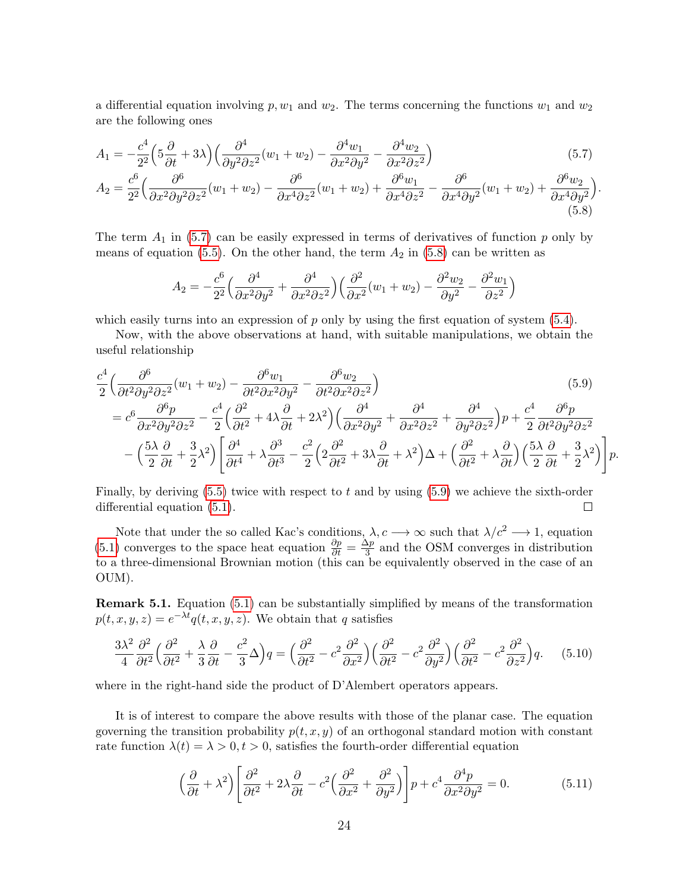a differential equation involving  $p, w_1$  and  $w_2$ . The terms concerning the functions  $w_1$  and  $w_2$ are the following ones

$$
A_1 = -\frac{c^4}{2^2} \left( 5\frac{\partial}{\partial t} + 3\lambda \right) \left( \frac{\partial^4}{\partial y^2 \partial z^2} (w_1 + w_2) - \frac{\partial^4 w_1}{\partial x^2 \partial y^2} - \frac{\partial^4 w_2}{\partial x^2 \partial z^2} \right)
$$
(5.7)

$$
A_2 = \frac{c^6}{2^2} \left( \frac{\partial^6}{\partial x^2 \partial y^2 \partial z^2} (w_1 + w_2) - \frac{\partial^6}{\partial x^4 \partial z^2} (w_1 + w_2) + \frac{\partial^6 w_1}{\partial x^4 \partial z^2} - \frac{\partial^6}{\partial x^4 \partial y^2} (w_1 + w_2) + \frac{\partial^6 w_2}{\partial x^4 \partial y^2} \right).
$$
\n(5.8)

The term  $A_1$  in [\(5.7\)](#page-23-0) can be easily expressed in terms of derivatives of function p only by means of equation [\(5.5\)](#page-22-2). On the other hand, the term  $A_2$  in [\(5.8\)](#page-23-1) can be written as

<span id="page-23-2"></span><span id="page-23-1"></span><span id="page-23-0"></span>
$$
A_2 = -\frac{c^6}{2^2} \left( \frac{\partial^4}{\partial x^2 \partial y^2} + \frac{\partial^4}{\partial x^2 \partial z^2} \right) \left( \frac{\partial^2}{\partial x^2} (w_1 + w_2) - \frac{\partial^2 w_2}{\partial y^2} - \frac{\partial^2 w_1}{\partial z^2} \right)
$$

which easily turns into an expression of  $p$  only by using the first equation of system  $(5.4)$ .

Now, with the above observations at hand, with suitable manipulations, we obtain the useful relationship

$$
\frac{c^4}{2} \left( \frac{\partial^6}{\partial t^2 \partial y^2 \partial z^2} (w_1 + w_2) - \frac{\partial^6 w_1}{\partial t^2 \partial x^2 \partial y^2} - \frac{\partial^6 w_2}{\partial t^2 \partial x^2 \partial z^2} \right) \tag{5.9}
$$
\n
$$
= c^6 \frac{\partial^6 p}{\partial x^2 \partial y^2 \partial z^2} - \frac{c^4}{2} \left( \frac{\partial^2}{\partial t^2} + 4\lambda \frac{\partial}{\partial t} + 2\lambda^2 \right) \left( \frac{\partial^4}{\partial x^2 \partial y^2} + \frac{\partial^4}{\partial x^2 \partial z^2} + \frac{\partial^4}{\partial y^2 \partial z^2} \right) p + \frac{c^4}{2} \frac{\partial^6 p}{\partial t^2 \partial y^2 \partial z^2} - \left( \frac{5\lambda}{2} \frac{\partial}{\partial t} + \frac{3}{2} \lambda^2 \right) \left[ \frac{\partial^4}{\partial t^4} + \lambda \frac{\partial^3}{\partial t^3} - \frac{c^2}{2} \left( 2 \frac{\partial^2}{\partial t^2} + 3\lambda \frac{\partial}{\partial t} + \lambda^2 \right) \Delta + \left( \frac{\partial^2}{\partial t^2} + \lambda \frac{\partial}{\partial t} \right) \left( \frac{5\lambda}{2} \frac{\partial}{\partial t} + \frac{3}{2} \lambda^2 \right) \right] p.
$$

Finally, by deriving [\(5.5\)](#page-22-2) twice with respect to t and by using [\(5.9\)](#page-23-2) we achieve the sixth-order differential equation [\(5.1\)](#page-21-0).  $\Box$ 

Note that under the so called Kac's conditions,  $\lambda, c \rightarrow \infty$  such that  $\lambda/c^2 \rightarrow 1$ , equation [\(5.1\)](#page-21-0) converges to the space heat equation  $\frac{\partial p}{\partial t} = \frac{\Delta p}{3}$  $\frac{\Delta p}{3}$  and the OSM converges in distribution to a three-dimensional Brownian motion (this can be equivalently observed in the case of an OUM).

Remark 5.1. Equation [\(5.1\)](#page-21-0) can be substantially simplified by means of the transformation  $p(t, x, y, z) = e^{-\lambda t} q(t, x, y, z)$ . We obtain that q satisfies

$$
\frac{3\lambda^2}{4}\frac{\partial^2}{\partial t^2}\Big(\frac{\partial^2}{\partial t^2} + \frac{\lambda}{3}\frac{\partial}{\partial t} - \frac{c^2}{3}\Delta\Big)q = \left(\frac{\partial^2}{\partial t^2} - c^2\frac{\partial^2}{\partial x^2}\right)\left(\frac{\partial^2}{\partial t^2} - c^2\frac{\partial^2}{\partial y^2}\right)\left(\frac{\partial^2}{\partial t^2} - c^2\frac{\partial^2}{\partial z^2}\right)q.\tag{5.10}
$$

where in the right-hand side the product of D'Alembert operators appears.

It is of interest to compare the above results with those of the planar case. The equation governing the transition probability  $p(t, x, y)$  of an orthogonal standard motion with constant rate function  $\lambda(t) = \lambda > 0, t > 0$ , satisfies the fourth-order differential equation

<span id="page-23-4"></span><span id="page-23-3"></span>
$$
\left(\frac{\partial}{\partial t} + \lambda^2\right) \left[ \frac{\partial^2}{\partial t^2} + 2\lambda \frac{\partial}{\partial t} - c^2 \left( \frac{\partial^2}{\partial x^2} + \frac{\partial^2}{\partial y^2} \right) \right] p + c^4 \frac{\partial^4 p}{\partial x^2 \partial y^2} = 0.
$$
 (5.11)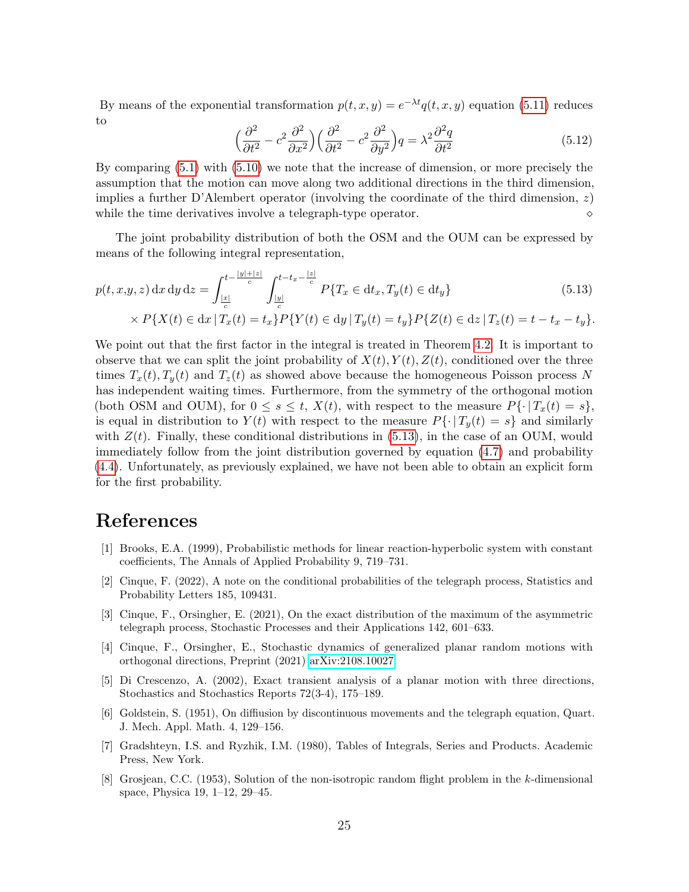By means of the exponential transformation  $p(t, x, y) = e^{-\lambda t} q(t, x, y)$  equation [\(5.11\)](#page-23-3) reduces to

<span id="page-24-8"></span>
$$
\left(\frac{\partial^2}{\partial t^2} - c^2 \frac{\partial^2}{\partial x^2}\right) \left(\frac{\partial^2}{\partial t^2} - c^2 \frac{\partial^2}{\partial y^2}\right) q = \lambda^2 \frac{\partial^2 q}{\partial t^2}
$$
\n(5.12)

By comparing [\(5.1\)](#page-23-3) with [\(5.10\)](#page-23-4) we note that the increase of dimension, or more precisely the assumption that the motion can move along two additional directions in the third dimension, implies a further D'Alembert operator (involving the coordinate of the third dimension,  $z$ ) while the time derivatives involve a telegraph-type operator.

The joint probability distribution of both the OSM and the OUM can be expressed by means of the following integral representation,

$$
p(t, x, y, z) dx dy dz = \int_{\frac{|x|}{c}}^{t - \frac{|y| + |z|}{c}} \int_{\frac{|y|}{c}}^{t - t_x - \frac{|z|}{c}} P\{T_x \in dt_x, T_y(t) \in dt_y\}
$$
(5.13)

$$
\times P\{X(t) \in dx \mid T_x(t) = t_x\} P\{Y(t) \in dy \mid T_y(t) = t_y\} P\{Z(t) \in dz \mid T_z(t) = t - t_x - t_y\}.
$$

We point out that the first factor in the integral is treated in Theorem [4.2.](#page-20-1) It is important to observe that we can split the joint probability of  $X(t), Y(t), Z(t)$ , conditioned over the three times  $T_x(t)$ ,  $T_y(t)$  and  $T_z(t)$  as showed above because the homogeneous Poisson process N has independent waiting times. Furthermore, from the symmetry of the orthogonal motion (both OSM and OUM), for  $0 \le s \le t$ ,  $X(t)$ , with respect to the measure  $P\{\cdot |T_x(t) = s\}$ , is equal in distribution to  $Y(t)$  with respect to the measure  $P\{\cdot | T_{\nu}(t) = s\}$  and similarly with  $Z(t)$ . Finally, these conditional distributions in [\(5.13\)](#page-24-8), in the case of an OUM, would immediately follow from the joint distribution governed by equation [\(4.7\)](#page-16-2) and probability [\(4.4\)](#page-16-0). Unfortunately, as previously explained, we have not been able to obtain an explicit form for the first probability.

## References

- <span id="page-24-2"></span>[1] Brooks, E.A. (1999), Probabilistic methods for linear reaction-hyperbolic system with constant coefficients, The Annals of Applied Probability 9, 719–731.
- <span id="page-24-7"></span>[2] Cinque, F. (2022), A note on the conditional probabilities of the telegraph process, Statistics and Probability Letters 185, 109431.
- <span id="page-24-6"></span>[3] Cinque, F., Orsingher, E. (2021), On the exact distribution of the maximum of the asymmetric telegraph process, Stochastic Processes and their Applications 142, 601–633.
- <span id="page-24-4"></span>[4] Cinque, F., Orsingher, E., Stochastic dynamics of generalized planar random motions with orthogonal directions, Preprint (2021) [arXiv:2108.10027.](http://arxiv.org/abs/2108.10027)
- <span id="page-24-1"></span>[5] Di Crescenzo, A. (2002), Exact transient analysis of a planar motion with three directions, Stochastics and Stochastics Reports 72(3-4), 175–189.
- <span id="page-24-0"></span>[6] Goldstein, S. (1951), On diffiusion by discontinuous movements and the telegraph equation, Quart. J. Mech. Appl. Math. 4, 129–156.
- <span id="page-24-5"></span>[7] Gradshteyn, I.S. and Ryzhik, I.M. (1980), Tables of Integrals, Series and Products. Academic Press, New York.
- <span id="page-24-3"></span>[8] Grosjean, C.C. (1953), Solution of the non-isotropic random flight problem in the k-dimensional space, Physica 19, 1–12, 29–45.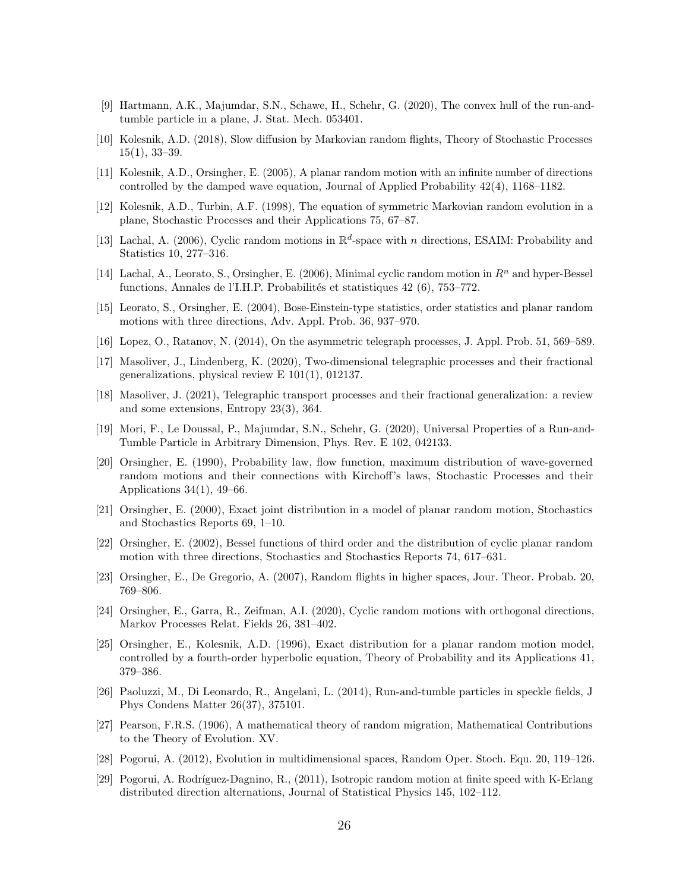- <span id="page-25-14"></span>[9] Hartmann, A.K., Majumdar, S.N., Schawe, H., Schehr, G. (2020), The convex hull of the run-andtumble particle in a plane, J. Stat. Mech. 053401.
- <span id="page-25-9"></span>[10] Kolesnik, A.D. (2018), Slow diffusion by Markovian random flights, Theory of Stochastic Processes  $15(1), 33-39.$
- <span id="page-25-6"></span>[11] Kolesnik, A.D., Orsingher, E. (2005), A planar random motion with an infinite number of directions controlled by the damped wave equation, Journal of Applied Probability 42(4), 1168–1182.
- <span id="page-25-4"></span>[12] Kolesnik, A.D., Turbin, A.F. (1998), The equation of symmetric Markovian random evolution in a plane, Stochastic Processes and their Applications 75, 67–87.
- <span id="page-25-3"></span>[13] Lachal, A. (2006), Cyclic random motions in  $\mathbb{R}^d$ -space with n directions, ESAIM: Probability and Statistics 10, 277–316.
- <span id="page-25-2"></span>[14] Lachal, A., Leorato, S., Orsingher, E. (2006), Minimal cyclic random motion in  $R<sup>n</sup>$  and hyper-Bessel functions, Annales de l'I.H.P. Probabilités et statistiques 42 (6), 753–772.
- <span id="page-25-18"></span>[15] Leorato, S., Orsingher, E. (2004), Bose-Einstein-type statistics, order statistics and planar random motions with three directions, Adv. Appl. Prob. 36, 937–970.
- <span id="page-25-19"></span>[16] Lopez, O., Ratanov, N. (2014), On the asymmetric telegraph processes, J. Appl. Prob. 51, 569–589.
- <span id="page-25-16"></span>[17] Masoliver, J., Lindenberg, K. (2020), Two-dimensional telegraphic processes and their fractional generalizations, physical review E 101(1), 012137.
- <span id="page-25-17"></span>[18] Masoliver, J. (2021), Telegraphic transport processes and their fractional generalization: a review and some extensions, Entropy 23(3), 364.
- <span id="page-25-15"></span>[19] Mori, F., Le Doussal, P., Majumdar, S.N., Schehr, G. (2020), Universal Properties of a Run-and-Tumble Particle in Arbitrary Dimension, Phys. Rev. E 102, 042133.
- <span id="page-25-5"></span>[20] Orsingher, E. (1990), Probability law, flow function, maximum distribution of wave-governed random motions and their connections with Kirchoff's laws, Stochastic Processes and their Applications 34(1), 49–66.
- <span id="page-25-11"></span>[21] Orsingher, E. (2000), Exact joint distribution in a model of planar random motion, Stochastics and Stochastics Reports 69, 1–10.
- <span id="page-25-1"></span>[22] Orsingher, E. (2002), Bessel functions of third order and the distribution of cyclic planar random motion with three directions, Stochastics and Stochastics Reports 74, 617–631.
- <span id="page-25-7"></span>[23] Orsingher, E., De Gregorio, A. (2007), Random flights in higher spaces, Jour. Theor. Probab. 20, 769–806.
- <span id="page-25-12"></span>[24] Orsingher, E., Garra, R., Zeifman, A.I. (2020), Cyclic random motions with orthogonal directions, Markov Processes Relat. Fields 26, 381–402.
- <span id="page-25-10"></span>[25] Orsingher, E., Kolesnik, A.D. (1996), Exact distribution for a planar random motion model, controlled by a fourth-order hyperbolic equation, Theory of Probability and its Applications 41, 379–386.
- <span id="page-25-13"></span>[26] Paoluzzi, M., Di Leonardo, R., Angelani, L. (2014), Run-and-tumble particles in speckle fields, J Phys Condens Matter 26(37), 375101.
- <span id="page-25-0"></span>[27] Pearson, F.R.S. (1906), A mathematical theory of random migration, Mathematical Contributions to the Theory of Evolution. XV.
- <span id="page-25-8"></span>[28] Pogorui, A. (2012), Evolution in multidimensional spaces, Random Oper. Stoch. Equ. 20, 119–126.
- [29] Pogorui, A. Rodríguez-Dagnino, R., (2011), Isotropic random motion at finite speed with K-Erlang distributed direction alternations, Journal of Statistical Physics 145, 102–112.